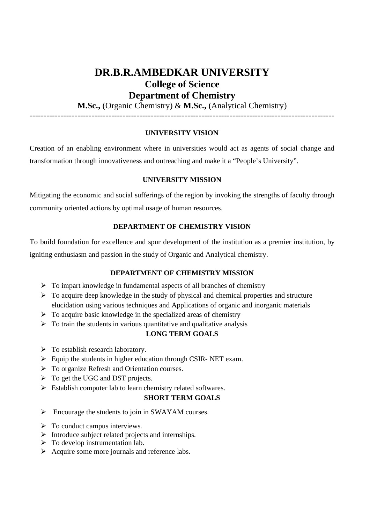# **DR.B.R.AMBEDKAR UNIVERSITY College of Science Department of Chemistry**

**M.Sc.,** (Organic Chemistry) & **M.Sc.,** (Analytical Chemistry)

------------------------------------------------------------------------------------------------------------

### **UNIVERSITY VISION**

Creation of an enabling environment where in universities would act as agents of social change and transformation through innovativeness and outreaching and make it a "People's University".

### **UNIVERSITY MISSION**

Mitigating the economic and social sufferings of the region by invoking the strengths of faculty through community oriented actions by optimal usage of human resources.

### **DEPARTMENT OF CHEMISTRY VISION**

To build foundation for excellence and spur development of the institution as a premier institution, by igniting enthusiasm and passion in the study of Organic and Analytical chemistry.

### **DEPARTMENT OF CHEMISTRY MISSION**

- $\triangleright$  To impart knowledge in fundamental aspects of all branches of chemistry
- $\triangleright$  To acquire deep knowledge in the study of physical and chemical properties and structure elucidation using various techniques and Applications of organic and inorganic materials
- $\triangleright$  To acquire basic knowledge in the specialized areas of chemistry
- $\triangleright$  To train the students in various quantitative and qualitative analysis

#### **LONG TERM GOALS**

- $\triangleright$  To establish research laboratory.
- $\triangleright$  Equip the students in higher education through CSIR- NET exam.
- To organize Refresh and Orientation courses.
- $\triangleright$  To get the UGC and DST projects.
- $\triangleright$  Establish computer lab to learn chemistry related softwares.

#### **SHORT TERM GOALS**

- $\triangleright$  Encourage the students to join in SWAYAM courses.
- $\triangleright$  To conduct campus interviews.
- $\triangleright$  Introduce subject related projects and internships.
- $\triangleright$  To develop instrumentation lab.
- $\triangleright$  Acquire some more journals and reference labs.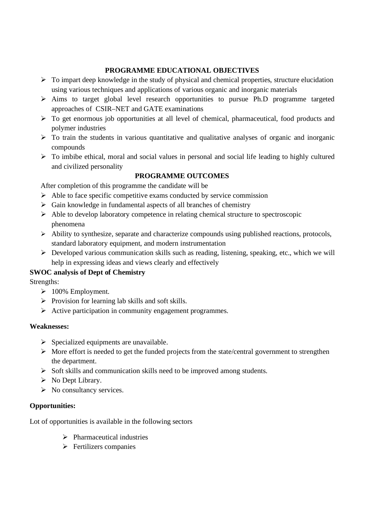# **PROGRAMME EDUCATIONAL OBJECTIVES**

- $\triangleright$  To impart deep knowledge in the study of physical and chemical properties, structure elucidation using various techniques and applications of various organic and inorganic materials
- $\triangleright$  Aims to target global level research opportunities to pursue Ph.D programme targeted approaches of CSIR–NET and GATE examinations
- $\triangleright$  To get enormous job opportunities at all level of chemical, pharmaceutical, food products and polymer industries
- $\triangleright$  To train the students in various quantitative and qualitative analyses of organic and inorganic compounds
- $\triangleright$  To imbibe ethical, moral and social values in personal and social life leading to highly cultured and civilized personality

# **PROGRAMME OUTCOMES**

After completion of this programme the candidate will be

- $\triangleright$  Able to face specific competitive exams conducted by service commission
- $\triangleright$  Gain knowledge in fundamental aspects of all branches of chemistry
- $\triangleright$  Able to develop laboratory competence in relating chemical structure to spectroscopic phenomena
- $\triangleright$  Ability to synthesize, separate and characterize compounds using published reactions, protocols, standard laboratory equipment, and modern instrumentation
- $\triangleright$  Developed various communication skills such as reading, listening, speaking, etc., which we will help in expressing ideas and views clearly and effectively

# **SWOC analysis of Dept of Chemistry**

Strengths:

- $\triangleright$  100% Employment.
- $\triangleright$  Provision for learning lab skills and soft skills.
- $\triangleright$  Active participation in community engagement programmes.

## **Weaknesses:**

- $\triangleright$  Specialized equipments are unavailable.
- $\triangleright$  More effort is needed to get the funded projects from the state/central government to strengthen the department.
- $\triangleright$  Soft skills and communication skills need to be improved among students.
- $\triangleright$  No Dept Library.
- $\triangleright$  No consultancy services.

## **Opportunities:**

Lot of opportunities is available in the following sectors

- $\triangleright$  Pharmaceutical industries
- $\triangleright$  Fertilizers companies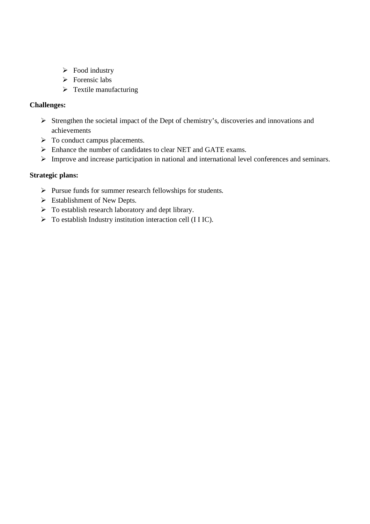- $\triangleright$  Food industry
- $\triangleright$  Forensic labs
- $\triangleright$  Textile manufacturing

## **Challenges:**

- Strengthen the societal impact of the Dept of chemistry's, discoveries and innovations and achievements
- $\triangleright$  To conduct campus placements.
- Enhance the number of candidates to clear NET and GATE exams.
- Improve and increase participation in national and international level conferences and seminars.

## **Strategic plans:**

- $\triangleright$  Pursue funds for summer research fellowships for students.
- $\triangleright$  Establishment of New Depts.
- $\triangleright$  To establish research laboratory and dept library.
- $\triangleright$  To establish Industry institution interaction cell (I I IC).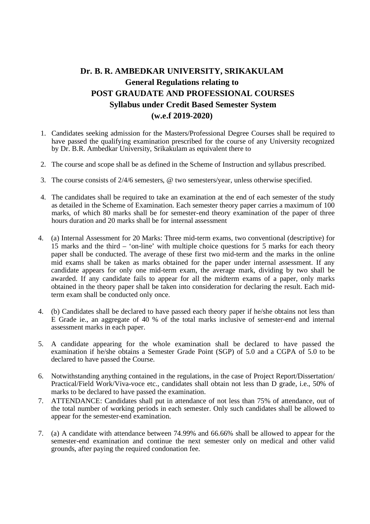# **Dr. B. R. AMBEDKAR UNIVERSITY, SRIKAKULAM General Regulations relating to POST GRAUDATE AND PROFESSIONAL COURSES Syllabus under Credit Based Semester System (w.e.f 2019-2020)**

- 1. Candidates seeking admission for the Masters/Professional Degree Courses shall be required to have passed the qualifying examination prescribed for the course of any University recognized by Dr. B.R. Ambedkar University, Srikakulam as equivalent there to
- 2. The course and scope shall be as defined in the Scheme of Instruction and syllabus prescribed.
- 3. The course consists of 2/4/6 semesters, @ two semesters/year, unless otherwise specified.
- 4. The candidates shall be required to take an examination at the end of each semester of the study as detailed in the Scheme of Examination. Each semester theory paper carries a maximum of 100 marks, of which 80 marks shall be for semester-end theory examination of the paper of three hours duration and 20 marks shall be for internal assessment
- 4. (a) Internal Assessment for 20 Marks: Three mid-term exams, two conventional (descriptive) for 15 marks and the third – 'on-line' with multiple choice questions for 5 marks for each theory paper shall be conducted. The average of these first two mid-term and the marks in the online mid exams shall be taken as marks obtained for the paper under internal assessment. If any candidate appears for only one mid-term exam, the average mark, dividing by two shall be awarded. If any candidate fails to appear for all the midterm exams of a paper, only marks obtained in the theory paper shall be taken into consideration for declaring the result. Each midterm exam shall be conducted only once.
- 4. (b) Candidates shall be declared to have passed each theory paper if he/she obtains not less than E Grade ie., an aggregate of 40 % of the total marks inclusive of semester-end and internal assessment marks in each paper.
- 5. A candidate appearing for the whole examination shall be declared to have passed the examination if he/she obtains a Semester Grade Point (SGP) of 5.0 and a CGPA of 5.0 to be declared to have passed the Course.
- 6. Notwithstanding anything contained in the regulations, in the case of Project Report/Dissertation/ Practical/Field Work/Viva-voce etc., candidates shall obtain not less than D grade, i.e., 50% of marks to be declared to have passed the examination.
- 7. ATTENDANCE: Candidates shall put in attendance of not less than 75% of attendance, out of the total number of working periods in each semester. Only such candidates shall be allowed to appear for the semester-end examination.
- 7. (a) A candidate with attendance between 74.99% and 66.66% shall be allowed to appear for the semester-end examination and continue the next semester only on medical and other valid grounds, after paying the required condonation fee.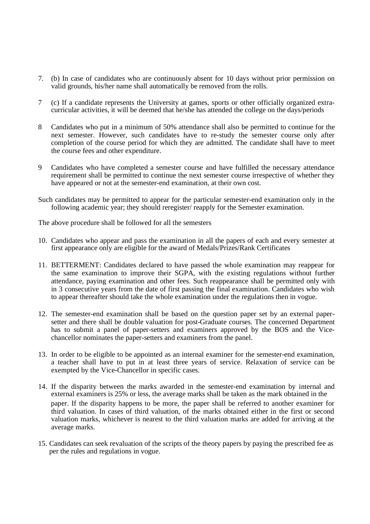- 7. (b) In case of candidates who are continuously absent for 10 days without prior permission on valid grounds, his/her name shall automatically be removed from the rolls.
- 7 (c) If a candidate represents the University at games, sports or other officially organized extracurricular activities, it will be deemed that he/she has attended the college on the days/periods
- 8 Candidates who put in a minimum of 50% attendance shall also be permitted to continue for the next semester. However, such candidates have to re-study the semester course only after completion of the course period for which they are admitted. The candidate shall have to meet the course fees and other expenditure.
- 9 Candidates who have completed a semester course and have fulfilled the necessary attendance requirement shall be permitted to continue the next semester course irrespective of whether they have appeared or not at the semester-end examination, at their own cost.
- Such candidates may be permitted to appear for the particular semester-end examination only in the following academic year; they should reregister/ reapply for the Semester examination.

The above procedure shall be followed for all the semesters

- 10. Candidates who appear and pass the examination in all the papers of each and every semester at first appearance only are eligible for the award of Medals/Prizes/Rank Certificates
- 11. BETTERMENT: Candidates declared to have passed the whole examination may reappear for the same examination to improve their SGPA, with the existing regulations without further attendance, paying examination and other fees. Such reappearance shall be permitted only with in 3 consecutive years from the date of first passing the final examination. Candidates who wish to appear thereafter should take the whole examination under the regulations then in vogue.
- 12. The semester-end examination shall be based on the question paper set by an external papersetter and there shall be double valuation for post-Graduate courses. The concerned Department has to submit a panel of paper-setters and examiners approved by the BOS and the Vicechancellor nominates the paper-setters and examiners from the panel.
- 13. In order to be eligible to be appointed as an internal examiner for the semester-end examination, a teacher shall have to put in at least three years of service. Relaxation of service can be exempted by the Vice-Chancellor in specific cases.
- 14. If the disparity between the marks awarded in the semester-end examination by internal and external examiners is 25% or less, the average marks shall be taken as the mark obtained in the paper. If the disparity happens to be more, the paper shall be referred to another examiner for third valuation. In cases of third valuation, of the marks obtained either in the first or second valuation marks, whichever is nearest to the third valuation marks are added for arriving at the average marks.
- 15. Candidates can seek revaluation of the scripts of the theory papers by paying the prescribed fee as per the rules and regulations in vogue.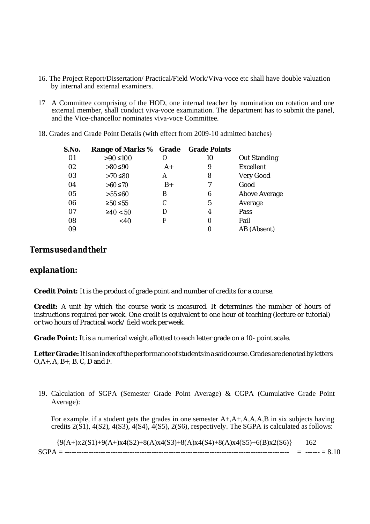- 16. The Project Report/Dissertation/ Practical/Field Work/Viva-voce etc shall have double valuation by internal and external examiners.
- 17 A Committee comprising of the HOD, one internal teacher by nomination on rotation and one external member, shall conduct viva-voce examination. The department has to submit the panel, and the Vice-chancellor nominates viva-voce Committee.
- 18. Grades and Grade Point Details (with effect from 2009-10 admitted batches)

| S.No. | Range of Marks % Grade |      | <b>Grade Points</b> |               |
|-------|------------------------|------|---------------------|---------------|
| 01    | $>90$ ≤100             | O    | 10                  | Out Standing  |
| 02    | $>80$ ≤90              | $A+$ | 9                   | Excellent     |
| 03    | $>70$ ≤80              | Α    | 8                   | Very Good     |
| 04    | $>60$ ≤70              | B+   |                     | Good          |
| 05    | $>55$ ≤60              | Β    | 6                   | Above Average |
| 06    | ≥50 ≤55                | С    | 5                   | Average       |
| 07    | ≥40 < 50               | D    | 4                   | Pass          |
| 08    | <40                    | F    | 0                   | Fail          |
| 09    |                        |      | 0                   | AB (Absent)   |
|       |                        |      |                     |               |

# *Termsusedandtheir*

## *explanation:*

**Credit Point:** It is the product of grade point and number of credits for a course.

**Credit:** A unit by which the course work is measured. It determines the number of hours of instructions required per week. One credit is equivalent to one hour of teaching (lecture or tutorial) or two hours of Practical work/ field work perweek.

**Grade Point:** It is a numerical weight allotted to each letter grade on a 10- point scale.

Letter Grade: It is an index of the performance of students in a said course. Grades are denoted by letters  $O, A +$ ,  $A, B +$ ,  $B, C, D$  and  $F$ .

19. Calculation of SGPA (Semester Grade Point Average) & CGPA (Cumulative Grade Point Average):

For example, if a student gets the grades in one semester A+,A+,A,A,A,B in six subjects having credits  $2(\overline{S1})$ ,  $4(S2)$ ,  $4(S3)$ ,  $4(S4)$ ,  $4(S5)$ ,  $2(S6)$ , respectively. The SGPA is calculated as follows:

 ${9(A+)x2(S1)+9(A+)x4(S2)+8(A)x4(S3)+8(A)x4(S4)+8(A)x4(S5)+6(B)x2(S6)}$  162 SGPA = --------------------------------------------------------------------------------------------- = ------ = 8.10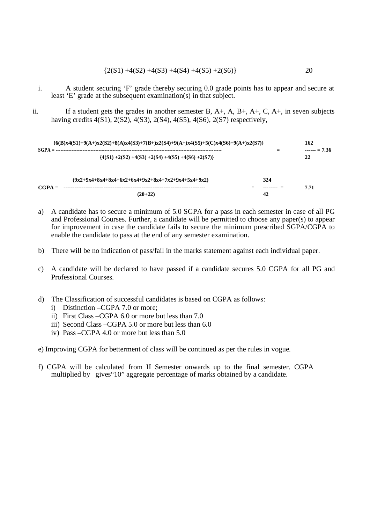$$
{2(S1) +4(S2) +4(S3) +4(S4) +4(S5) +2(S6)}
$$
 20

- i. A student securing 'F' grade thereby securing 0.0 grade points has to appear and secure at least 'E' grade at the subsequent examination(s) in that subject.
- ii. If a student gets the grades in another semester B,  $A_+, A_+, B_+, A_+, C, A_+$ , in seven subjects having credits 4(S1), 2(S2), 4(S3), 2(S4), 4(S5), 4(S6), 2(S7) respectively,

| $\{6(B)x4(S1)+9(A)+x2(S2)+8(A)x4(S3)+7(B+x2(S4)+9(A+x4(S5)+5(C)x4(S6)+9(A+x2(S7))\}$ |                                                           |  |     |                    |  |
|--------------------------------------------------------------------------------------|-----------------------------------------------------------|--|-----|--------------------|--|
| $SCPA =$                                                                             | ${4(S1) + 2(S2) + 4(S3) + 2(S4) + 4(S5) + 4(S6) + 2(S7)}$ |  |     | $--- = 7.36$<br>22 |  |
|                                                                                      | $(9x2+9x4+8x4+8x4+6x2+6x4+9x2+8x4+7x2+9x4+5x4+9x2)$       |  | 324 |                    |  |
| $CGPA =$                                                                             | $(20+22)$                                                 |  | 42  | 7.71               |  |

- a) A candidate has to secure a minimum of 5.0 SGPA for a pass in each semester in case of all PG and Professional Courses. Further, a candidate will be permitted to choose any paper(s) to appear for improvement in case the candidate fails to secure the minimum prescribed SGPA/CGPA to enable the candidate to pass at the end of any semester examination.
- b) There will be no indication of pass/fail in the marks statement against each individual paper.
- c) A candidate will be declared to have passed if a candidate secures 5.0 CGPA for all PG and Professional Courses.
- d) The Classification of successful candidates is based on CGPA as follows:
	- i) Distinction –CGPA 7.0 or more;
	- ii) First Class –CGPA 6.0 or more but less than 7.0
	- iii) Second Class –CGPA 5.0 or more but less than 6.0
	- iv) Pass –CGPA 4.0 or more but less than 5.0
- e) Improving CGPA for betterment of class will be continued as per the rules in vogue.
- f) CGPA will be calculated from II Semester onwards up to the final semester. CGPA multiplied by gives"10" aggregate percentage of marks obtained by a candidate.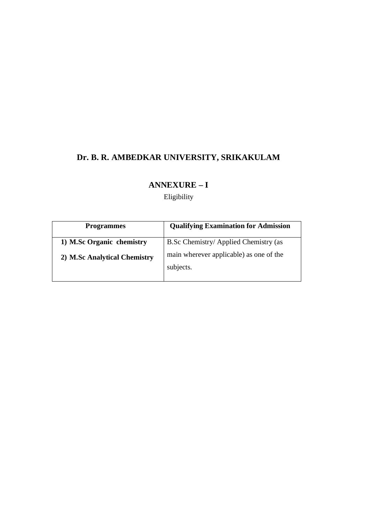# **Dr. B. R. AMBEDKAR UNIVERSITY, SRIKAKULAM**

# **ANNEXURE – I**

Eligibility

| <b>Programmes</b>            | <b>Qualifying Examination for Admission</b>          |
|------------------------------|------------------------------------------------------|
| 1) M.Sc Organic chemistry    | B.Sc Chemistry/ Applied Chemistry (as                |
| 2) M.Sc Analytical Chemistry | main wherever applicable) as one of the<br>subjects. |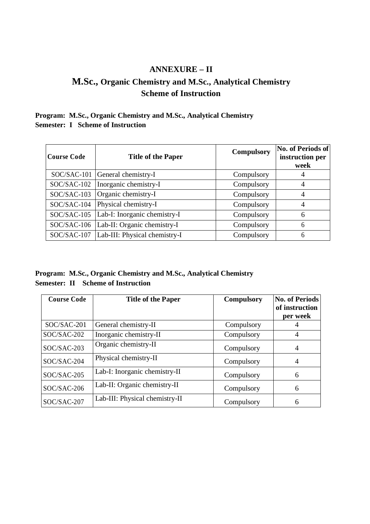# **ANNEXURE – II**

# **M.Sc., Organic Chemistry and M.Sc., Analytical Chemistry Scheme of Instruction**

# **Program: M.Sc., Organic Chemistry and M.Sc., Analytical Chemistry Semester: I Scheme of Instruction**

| <b>Course Code</b> | <b>Title of the Paper</b>     | <b>Compulsory</b> | No. of Periods of<br>instruction per<br>week |
|--------------------|-------------------------------|-------------------|----------------------------------------------|
| SOC/SAC-101        | General chemistry-I           | Compulsory        | 4                                            |
| $SOC/SAC-102$      | Inorganic chemistry-I         | Compulsory        | $\overline{4}$                               |
| SOC/SAC-103        | Organic chemistry-I           | Compulsory        | 4                                            |
| $SOC/SAC-104$      | Physical chemistry-I          | Compulsory        | $\overline{4}$                               |
| SOC/SAC-105        | Lab-I: Inorganic chemistry-I  | Compulsory        | 6                                            |
| SOC/SAC-106        | Lab-II: Organic chemistry-I   | Compulsory        | 6                                            |
| SOC/SAC-107        | Lab-III: Physical chemistry-I | Compulsory        | 6                                            |

**Program: M.Sc., Organic Chemistry and M.Sc., Analytical Chemistry Semester: II Scheme of Instruction**

| <b>Course Code</b> | <b>Title of the Paper</b>      | <b>Compulsory</b> | <b>No. of Periods</b><br>of instruction<br>per week |
|--------------------|--------------------------------|-------------------|-----------------------------------------------------|
| SOC/SAC-201        | General chemistry-II           | Compulsory        |                                                     |
| SOC/SAC-202        | Inorganic chemistry-II         | Compulsory        | 4                                                   |
| SOC/SAC-203        | Organic chemistry-II           | Compulsory        | $\overline{4}$                                      |
| SOC/SAC-204        | Physical chemistry-II          | Compulsory        | $\overline{4}$                                      |
| SOC/SAC-205        | Lab-I: Inorganic chemistry-II  | Compulsory        | 6                                                   |
| SOC/SAC-206        | Lab-II: Organic chemistry-II   | Compulsory        | 6                                                   |
| SOC/SAC-207        | Lab-III: Physical chemistry-II | Compulsory        | 6                                                   |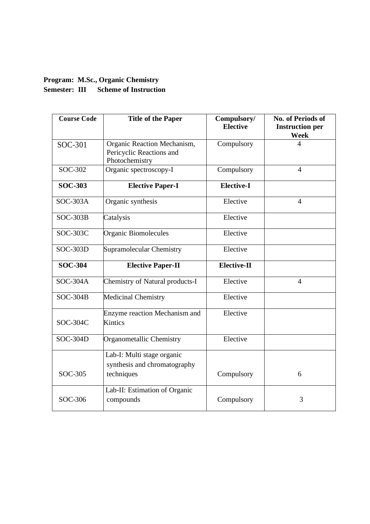# **Program: M.Sc., Organic Chemistry Semester: III Scheme of Instruction**

| <b>Course Code</b> | <b>Title of the Paper</b>                                                 | Compulsory/<br><b>Elective</b> | <b>No. of Periods of</b><br><b>Instruction per</b><br><b>Week</b> |
|--------------------|---------------------------------------------------------------------------|--------------------------------|-------------------------------------------------------------------|
| SOC-301            | Organic Reaction Mechanism,<br>Pericyclic Reactions and<br>Photochemistry | Compulsory                     | 4                                                                 |
| SOC-302            | Organic spectroscopy-I                                                    | Compulsory                     | $\overline{4}$                                                    |
| <b>SOC-303</b>     | <b>Elective Paper-I</b>                                                   | <b>Elective-I</b>              |                                                                   |
| $SOC-303A$         | Organic synthesis                                                         | Elective                       | $\overline{4}$                                                    |
| $SOC-303B$         | Catalysis                                                                 | Elective                       |                                                                   |
| SOC-303C           | Organic Biomolecules                                                      | Elective                       |                                                                   |
| SOC-303D           | Supramolecular Chemistry                                                  | Elective                       |                                                                   |
| <b>SOC-304</b>     | <b>Elective Paper-II</b>                                                  | <b>Elective-II</b>             |                                                                   |
| SOC-304A           | Chemistry of Natural products-I                                           | Elective                       | $\overline{4}$                                                    |
| $SOC-304B$         | Medicinal Chemistry                                                       | Elective                       |                                                                   |
| SOC-304C           | Enzyme reaction Mechanism and<br>Kintics                                  | Elective                       |                                                                   |
| <b>SOC-304D</b>    | Organometallic Chemistry                                                  | Elective                       |                                                                   |
| SOC-305            | Lab-I: Multi stage organic<br>synthesis and chromatography<br>techniques  | Compulsory                     | 6                                                                 |
| SOC-306            | Lab-II: Estimation of Organic<br>compounds                                | Compulsory                     | 3                                                                 |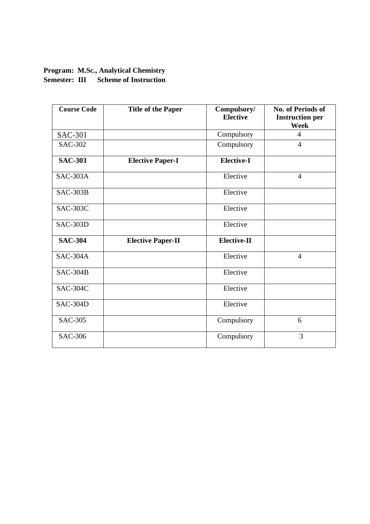# **Program: M.Sc., Analytical Chemistry Semester: III Scheme of Instruction**

| <b>Course Code</b> | <b>Title of the Paper</b> | Compulsory/<br><b>Elective</b> | No. of Periods of<br><b>Instruction per</b><br><b>Week</b> |
|--------------------|---------------------------|--------------------------------|------------------------------------------------------------|
| <b>SAC-301</b>     |                           | Compulsory                     | $\overline{4}$                                             |
| <b>SAC-302</b>     |                           | Compulsory                     | $\overline{4}$                                             |
| <b>SAC-303</b>     | <b>Elective Paper-I</b>   | <b>Elective-I</b>              |                                                            |
| $SAC-303A$         |                           | Elective                       | $\overline{4}$                                             |
| $SAC-303B$         |                           | Elective                       |                                                            |
| <b>SAC-303C</b>    |                           | Elective                       |                                                            |
| SAC-303D           |                           | Elective                       |                                                            |
| <b>SAC-304</b>     | <b>Elective Paper-II</b>  | <b>Elective-II</b>             |                                                            |
| <b>SAC-304A</b>    |                           | Elective                       | $\overline{4}$                                             |
| $SAC-304B$         |                           | Elective                       |                                                            |
| <b>SAC-304C</b>    |                           | Elective                       |                                                            |
| SAC-304D           |                           | Elective                       |                                                            |
| <b>SAC-305</b>     |                           | Compulsory                     | 6                                                          |
| <b>SAC-306</b>     |                           | Compulsory                     | $\overline{3}$                                             |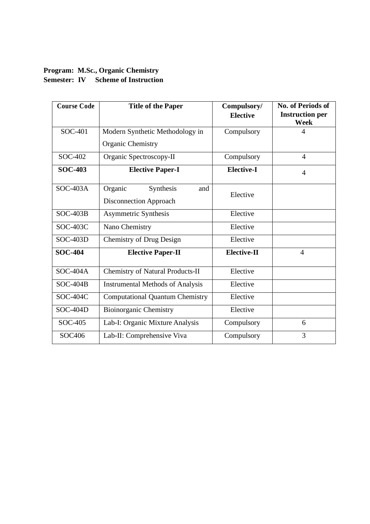# **Program: M.Sc., Organic Chemistry Semester: IV Scheme of Instruction**

| <b>Course Code</b> | <b>Title of the Paper</b>               | Compulsory/<br><b>Elective</b> | <b>No. of Periods of</b><br><b>Instruction per</b> |
|--------------------|-----------------------------------------|--------------------------------|----------------------------------------------------|
|                    |                                         |                                | <b>Week</b>                                        |
| SOC-401            | Modern Synthetic Methodology in         | Compulsory                     | 4                                                  |
|                    | Organic Chemistry                       |                                |                                                    |
| SOC-402            | Organic Spectroscopy-II                 | Compulsory                     | $\overline{4}$                                     |
| <b>SOC-403</b>     | <b>Elective Paper-I</b>                 | <b>Elective-I</b>              | $\overline{4}$                                     |
| $SOC-403A$         | Organic<br>Synthesis<br>and             |                                |                                                    |
|                    | Disconnection Approach                  | Elective                       |                                                    |
| $SOC-403B$         | Asymmetric Synthesis                    | Elective                       |                                                    |
| SOC-403C           | Nano Chemistry                          | Elective                       |                                                    |
| $SOC-403D$         | <b>Chemistry of Drug Design</b>         | Elective                       |                                                    |
| <b>SOC-404</b>     | <b>Elective Paper-II</b>                | Elective-II                    | $\overline{4}$                                     |
| $SOC-404A$         | <b>Chemistry of Natural Products-II</b> | Elective                       |                                                    |
| $SOC-404B$         | <b>Instrumental Methods of Analysis</b> | Elective                       |                                                    |
| SOC-404C           | <b>Computational Quantum Chemistry</b>  | Elective                       |                                                    |
| <b>SOC-404D</b>    | <b>Bioinorganic Chemistry</b>           | Elective                       |                                                    |
| SOC-405            | Lab-I: Organic Mixture Analysis         | Compulsory                     | 6                                                  |
| SOC406             | Lab-II: Comprehensive Viva              | Compulsory                     | 3                                                  |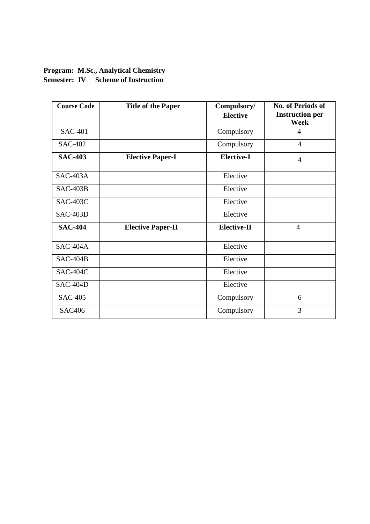# **Program: M.Sc., Analytical Chemistry Semester: IV Scheme of Instruction**

| <b>Course Code</b> | <b>Title of the Paper</b> | Compulsory/<br><b>Elective</b> | No. of Periods of<br><b>Instruction per</b> |
|--------------------|---------------------------|--------------------------------|---------------------------------------------|
| <b>SAC-401</b>     |                           | Compulsory                     | Week<br>4                                   |
|                    |                           |                                |                                             |
| <b>SAC-402</b>     |                           | Compulsory                     | $\overline{4}$                              |
| <b>SAC-403</b>     | <b>Elective Paper-I</b>   | <b>Elective-I</b>              | $\overline{4}$                              |
| $SAC-403A$         |                           | Elective                       |                                             |
| $SAC-403B$         |                           | Elective                       |                                             |
| <b>SAC-403C</b>    |                           | Elective                       |                                             |
| $SAC-403D$         |                           | Elective                       |                                             |
| <b>SAC-404</b>     | <b>Elective Paper-II</b>  | <b>Elective-II</b>             | $\overline{4}$                              |
| $SAC-404A$         |                           | Elective                       |                                             |
| $SAC-404B$         |                           | Elective                       |                                             |
| <b>SAC-404C</b>    |                           | Elective                       |                                             |
| SAC-404D           |                           | Elective                       |                                             |
| <b>SAC-405</b>     |                           | Compulsory                     | 6                                           |
| <b>SAC406</b>      |                           | Compulsory                     | 3                                           |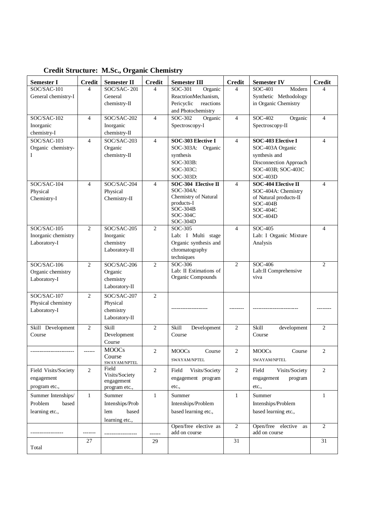| <b>Semester I</b>                 | <b>Credit</b>  | <b>Semester II</b>         | <b>Credit</b>  | <b>Semester III</b>                         | <b>Credit</b>            | <b>Semester IV</b>                   | <b>Credit</b>  |
|-----------------------------------|----------------|----------------------------|----------------|---------------------------------------------|--------------------------|--------------------------------------|----------------|
| $SOC/SAC-101$                     | 4              | SOC/SAC-201                | 4              | SOC-301<br>Organic                          | 4                        | SOC-401<br>Modern                    | 4              |
| General chemistry-I               |                | General                    |                | ReactrionMechanism,                         |                          | Synthetic Methodology                |                |
|                                   |                | chemistry-II               |                | Pericyclic<br>reactions                     |                          | in Organic Chemistry                 |                |
|                                   |                |                            |                | and Photochemistry                          |                          |                                      |                |
| SOC/SAC-102                       | 4              | SOC/SAC-202                | $\overline{4}$ | SOC-302<br>Organic                          | 4                        | SOC-402<br>Organic                   | $\overline{4}$ |
| Inorganic<br>chemistry-I          |                | Inorganic<br>chemistry-II  |                | Spectroscopy-I                              |                          | Spectroscopy-II                      |                |
| $SOC/SAC-103$                     | 4              | SOC/SAC-203                | $\overline{4}$ | SOC-303 Elective I                          | 4                        | <b>SOC-403 Elective I</b>            | 4              |
| Organic chemistry-                |                | Organic                    |                | SOC-303A: Organic                           |                          | SOC-403A Organic                     |                |
| L                                 |                | chemistry-II               |                | synthesis                                   |                          | synthesis and                        |                |
|                                   |                |                            |                | SOC-303B:                                   |                          | Disconnection Approach               |                |
|                                   |                |                            |                | SOC-303C:                                   |                          | SOC-403B; SOC-403C                   |                |
|                                   |                |                            |                | SOC-303D:                                   |                          | $SOC-403D$                           |                |
| SOC/SAC-104                       | $\overline{4}$ | SOC/SAC-204                | 4              | SOC-304 Elective II                         | $\overline{\mathcal{L}}$ | <b>SOC-404 Elective II</b>           | $\overline{4}$ |
| Physical                          |                | Physical                   |                | SOC-304A:<br>Chemistry of Natural           |                          | SOC-404A: Chemistry                  |                |
| Chemistry-I                       |                | Chemistry-II               |                | products-I                                  |                          | of Natural products-II<br>$SOC-404B$ |                |
|                                   |                |                            |                | $SOC-304B$                                  |                          | SOC-404C                             |                |
|                                   |                |                            |                | SOC-304C                                    |                          | SOC-404D                             |                |
| SOC/SAC-105                       | $\overline{2}$ | SOC/SAC-205                | 2              | SOC-304D<br>SOC-305                         | $\overline{\mathcal{L}}$ | SOC-405                              | $\overline{4}$ |
| Inorganic chemistry               |                | Inorganic                  |                | Lab: I Multi stage                          |                          | Lab: I Organic Mixture               |                |
| Laboratory-I                      |                | chemistry                  |                | Organic synthesis and                       |                          | Analysis                             |                |
|                                   |                | Laboratory-II              |                | chromatography                              |                          |                                      |                |
|                                   |                |                            |                | techniques                                  |                          |                                      |                |
| SOC/SAC-106                       | 2              | SOC/SAC-206                | 2              | SOC-306                                     | $\overline{2}$           | SOC-406                              | $\overline{2}$ |
| Organic chemistry                 |                | Organic                    |                | Lab: II Estimations of<br>Organic Compounds |                          | Lab:II Comprehensive<br>viva         |                |
| Laboratory-I                      |                | chemistry<br>Laboratory-II |                |                                             |                          |                                      |                |
|                                   |                |                            |                |                                             |                          |                                      |                |
| SOC/SAC-107<br>Physical chemistry | $\overline{2}$ | SOC/SAC-207<br>Physical    | 2              |                                             |                          |                                      |                |
| Laboratory-I                      |                | chemistry                  |                |                                             |                          |                                      |                |
|                                   |                | Laboratory-II              |                |                                             |                          |                                      |                |
| Skill Development                 | $\overline{2}$ | Skill                      | 2              | Skill<br>Development                        | $\overline{2}$           | <b>Skill</b><br>development          | $\overline{2}$ |
| Course                            |                | Development                |                | Course                                      |                          | Course                               |                |
|                                   |                | Course                     |                |                                             |                          |                                      |                |
| -----------------------           | ------         | <b>MOOCs</b>               | 2              | <b>MOOCs</b><br>Course                      | $\mathfrak{2}$           | <b>MOOCs</b><br>Course               | $\overline{c}$ |
|                                   |                | Course                     |                | SWAYAM/NPTEL                                |                          | SWAYAM/NPTEL                         |                |
| Field Visits/Society              | $\overline{2}$ | SWAYAM/NPTEL<br>Field      | $\mathbf{2}$   |                                             | $\mathbf{2}$             | Visits/Society<br>Field              | $\overline{2}$ |
|                                   |                | Visits/Society             |                | Visits/Society<br>Field                     |                          |                                      |                |
| engagement                        |                | engagement                 |                | engagement program                          |                          | program<br>engagement                |                |
| program etc.,                     |                | program etc.,              |                | etc.,                                       |                          | etc.,                                |                |
| Summer Intenships/                | $\mathbf{1}$   | Summer                     | $\mathbf{1}$   | Summer                                      | $\mathbf{1}$             | Summer                               | $\mathbf{1}$   |
| Problem<br>based                  |                | Intenships/Prob            |                | Intenships/Problem                          |                          | Intenships/Problem                   |                |
| learning etc.,                    |                | based<br>lem               |                | based learning etc.,                        |                          | based learning etc.,                 |                |
|                                   |                | learning etc.,             |                | Open/free elective as                       | $\overline{2}$           | Open/free elective as                | $\overline{2}$ |
|                                   |                |                            | ------         | add on course                               |                          | add on course                        |                |
|                                   | 27             |                            | 29             |                                             | 31                       |                                      | 31             |
| Total                             |                |                            |                |                                             |                          |                                      |                |

**Credit Structure: M.Sc., Organic Chemistry**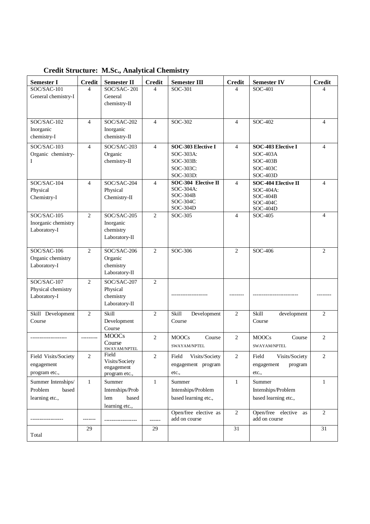| <b>Semester I</b>                  | <b>Credit</b>  | <b>Semester II</b>           | <b>Credit</b>  | <b>Semester III</b>                    | <b>Credit</b>            | <b>Semester IV</b>                        | <b>Credit</b>  |
|------------------------------------|----------------|------------------------------|----------------|----------------------------------------|--------------------------|-------------------------------------------|----------------|
| SOC/SAC-101<br>General chemistry-I | 4              | SOC/SAC-201<br>General       | 4              | SOC-301                                | 4                        | SOC-401                                   | Δ              |
|                                    |                | chemistry-II                 |                |                                        |                          |                                           |                |
|                                    |                |                              |                |                                        |                          |                                           |                |
| SOC/SAC-102                        | $\overline{4}$ | $SOC/SAC-202$                | 4              | SOC-302                                | 4                        | SOC-402                                   | 4              |
| Inorganic<br>chemistry-I           |                | Inorganic<br>chemistry-II    |                |                                        |                          |                                           |                |
| SOC/SAC-103                        | $\overline{4}$ | SOC/SAC-203                  | $\overline{4}$ | SOC-303 Elective I                     | $\overline{\mathcal{L}}$ | <b>SOC-403 Elective I</b>                 | $\overline{4}$ |
| Organic chemistry-                 |                | Organic                      |                | SOC-303A:                              |                          | $SOC-403A$                                |                |
|                                    |                | chemistry-II                 |                | SOC-303B:                              |                          | $SOC-403B$                                |                |
|                                    |                |                              |                | SOC-303C:                              |                          | SOC-403C                                  |                |
|                                    |                |                              |                | SOC-303D:                              |                          | SOC-403D                                  |                |
| SOC/SAC-104                        | $\overline{4}$ | SOC/SAC-204                  | $\overline{4}$ | SOC-304 Elective II<br>SOC-304A:       | $\overline{\mathcal{L}}$ | <b>SOC-404 Elective II</b>                | $\overline{4}$ |
| Physical<br>Chemistry-I            |                | Physical<br>Chemistry-II     |                | $SOC-304B$                             |                          | SOC-404A:<br>$SOC-404B$                   |                |
|                                    |                |                              |                | SOC-304C                               |                          | SOC-404C                                  |                |
|                                    |                |                              |                | SOC-304D                               |                          | SOC-404D                                  |                |
| SOC/SAC-105<br>Inorganic chemistry | $\overline{2}$ | SOC/SAC-205<br>Inorganic     | 2              | SOC-305                                | 4                        | SOC-405                                   | 4              |
| Laboratory-I                       |                | chemistry                    |                |                                        |                          |                                           |                |
|                                    |                | Laboratory-II                |                |                                        |                          |                                           |                |
|                                    |                |                              |                |                                        |                          |                                           |                |
| SOC/SAC-106                        | $\overline{2}$ | SOC/SAC-206                  | $\overline{2}$ | SOC-306                                | $\overline{2}$           | $SOC-406$                                 | $\overline{2}$ |
| Organic chemistry                  |                | Organic                      |                |                                        |                          |                                           |                |
| Laboratory-I                       |                | chemistry<br>Laboratory-II   |                |                                        |                          |                                           |                |
| SOC/SAC-107                        | $\overline{2}$ | SOC/SAC-207                  | 2              |                                        |                          |                                           |                |
| Physical chemistry                 |                | Physical                     |                |                                        |                          |                                           |                |
| Laboratory-I                       |                | chemistry                    |                |                                        |                          |                                           |                |
|                                    |                | Laboratory-II                |                |                                        |                          |                                           |                |
| Skill Development                  | $\overline{2}$ | Skill                        | 2              | Skill<br>Development                   | 2                        | Skill<br>development                      | $\overline{2}$ |
| Course                             |                | Development                  |                | Course                                 |                          | Course                                    |                |
|                                    |                | Course                       |                |                                        |                          |                                           |                |
| -----------------                  | ---------      | <b>MOOCs</b>                 | 2              | <b>MOOCs</b><br>Course                 | $\overline{2}$           | <b>MOOCs</b><br>Course                    | $\overline{2}$ |
|                                    |                | Course<br>SWAYAM/NPTEL       |                | SWAYAM/NPTEL                           |                          | SWAYAM/NPTEL                              |                |
| Field Visits/Society               | 2              | Field                        | 2              | $\rm Field$<br>Visits/Society          | $\overline{\mathbf{c}}$  | Field<br>Visits/Society                   | $\overline{c}$ |
| engagement                         |                | Visits/Society<br>engagement |                | engagement program                     |                          | engagement<br>program                     |                |
| program etc.,                      |                | program etc.,                |                | etc.,                                  |                          | etc.,                                     |                |
| Summer Intenships/                 | $\mathbf{1}$   | Summer                       | $\mathbf{1}$   | Summer                                 | $\mathbf{1}$             | Summer                                    | $\mathbf{1}$   |
| Problem<br>based                   |                | Intenships/Prob              |                | Intenships/Problem                     |                          | Intenships/Problem                        |                |
| learning etc.,                     |                | based<br>lem                 |                | based learning etc.,                   |                          | based learning etc.,                      |                |
|                                    |                | learning etc.,               |                |                                        |                          |                                           |                |
|                                    |                |                              |                | Open/free elective as<br>add on course | $\mathbf{2}$             | Open/free elective<br>as<br>add on course | 2              |
|                                    |                |                              | ------         |                                        |                          |                                           |                |
| Total                              | 29             |                              | 29             |                                        | 31                       |                                           | 31             |
|                                    |                |                              |                |                                        |                          |                                           |                |

**Credit Structure: M.Sc., Analytical Chemistry**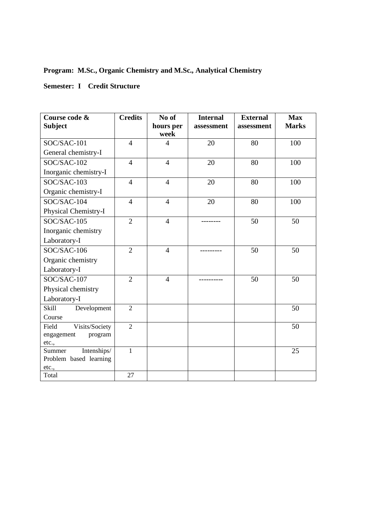# **Program: M.Sc., Organic Chemistry and M.Sc., Analytical Chemistry**

# **Semester: I Credit Structure**

| Course code &<br><b>Subject</b> | <b>Credits</b> | No of<br>hours per<br>week | <b>Internal</b><br>assessment | <b>External</b><br>assessment | <b>Max</b><br><b>Marks</b> |
|---------------------------------|----------------|----------------------------|-------------------------------|-------------------------------|----------------------------|
| SOC/SAC-101                     | $\overline{4}$ | $\overline{4}$             | 20                            | 80                            | 100                        |
| General chemistry-I             |                |                            |                               |                               |                            |
| SOC/SAC-102                     | $\overline{4}$ | $\overline{4}$             | 20                            | 80                            | 100                        |
| Inorganic chemistry-I           |                |                            |                               |                               |                            |
| SOC/SAC-103                     | $\overline{4}$ | $\overline{4}$             | 20                            | 80                            | 100                        |
| Organic chemistry-I             |                |                            |                               |                               |                            |
| SOC/SAC-104                     | $\overline{4}$ | $\overline{4}$             | 20                            | 80                            | 100                        |
| Physical Chemistry-I            |                |                            |                               |                               |                            |
| SOC/SAC-105                     | $\overline{2}$ | $\overline{4}$             |                               | 50                            | 50                         |
| Inorganic chemistry             |                |                            |                               |                               |                            |
| Laboratory-I                    |                |                            |                               |                               |                            |
| SOC/SAC-106                     | $\overline{2}$ | $\overline{4}$             |                               | 50                            | 50                         |
| Organic chemistry               |                |                            |                               |                               |                            |
| Laboratory-I                    |                |                            |                               |                               |                            |
| SOC/SAC-107                     | $\overline{2}$ | $\overline{4}$             |                               | 50                            | 50                         |
| Physical chemistry              |                |                            |                               |                               |                            |
| Laboratory-I                    |                |                            |                               |                               |                            |
| Skill<br>Development            | $\overline{2}$ |                            |                               |                               | 50                         |
| Course                          |                |                            |                               |                               |                            |
| Visits/Society<br>Field         | $\overline{2}$ |                            |                               |                               | 50                         |
| engagement<br>program           |                |                            |                               |                               |                            |
| etc.,<br>Intenships/<br>Summer  | $\mathbf{1}$   |                            |                               |                               | 25                         |
| Problem based learning          |                |                            |                               |                               |                            |
| etc.,                           |                |                            |                               |                               |                            |
| Total                           | 27             |                            |                               |                               |                            |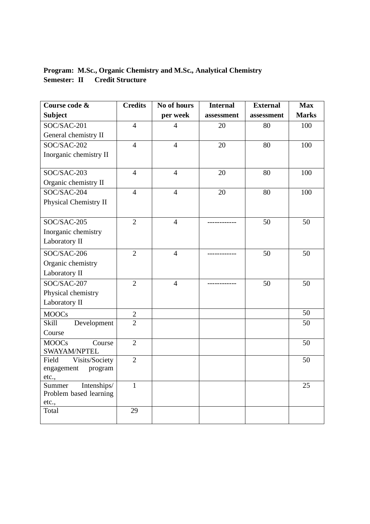# **Program: M.Sc., Organic Chemistry and M.Sc., Analytical Chemistry Semester: II Credit Structure**

| Course code &                  | <b>Credits</b>  | No of hours<br><b>Internal</b> |            | <b>External</b> | <b>Max</b>   |
|--------------------------------|-----------------|--------------------------------|------------|-----------------|--------------|
| <b>Subject</b>                 |                 | per week                       | assessment | assessment      | <b>Marks</b> |
| SOC/SAC-201                    | $\overline{4}$  | $\overline{4}$                 | 20         | 80              | 100          |
| General chemistry II           |                 |                                |            |                 |              |
| SOC/SAC-202                    | $\overline{4}$  | $\overline{4}$                 | 20         | 80              | 100          |
| Inorganic chemistry II         |                 |                                |            |                 |              |
| SOC/SAC-203                    | $\overline{4}$  | $\overline{4}$                 | 20         | 80              | 100          |
| Organic chemistry II           |                 |                                |            |                 |              |
| SOC/SAC-204                    | $\overline{4}$  | $\overline{4}$                 | 20         | 80              | 100          |
| Physical Chemistry II          |                 |                                |            |                 |              |
| SOC/SAC-205                    | $\overline{2}$  | $\overline{4}$                 | -------    | 50              | 50           |
| Inorganic chemistry            |                 |                                |            |                 |              |
| Laboratory II                  |                 |                                |            |                 |              |
| SOC/SAC-206                    | $\overline{2}$  | $\overline{4}$                 |            | 50              | 50           |
| Organic chemistry              |                 |                                |            |                 |              |
| Laboratory II                  |                 |                                |            |                 |              |
| SOC/SAC-207                    | $\overline{2}$  | $\overline{4}$                 |            | 50              | 50           |
| Physical chemistry             |                 |                                |            |                 |              |
| Laboratory II                  |                 |                                |            |                 |              |
| <b>MOOCs</b>                   | $\overline{c}$  |                                |            |                 | 50           |
| Skill<br>Development           | $\overline{2}$  |                                |            |                 | 50           |
| Course                         |                 |                                |            |                 |              |
| <b>MOOCs</b><br>Course         | $\overline{2}$  |                                |            |                 | 50           |
| SWAYAM/NPTEL                   |                 |                                |            |                 |              |
| Field<br>Visits/Society        | $\overline{2}$  |                                |            |                 | 50           |
| engagement<br>program<br>etc., |                 |                                |            |                 |              |
| Intenships/<br>Summer          | $\mathbf{1}$    |                                |            |                 | 25           |
| Problem based learning         |                 |                                |            |                 |              |
| etc.,                          |                 |                                |            |                 |              |
| Total                          | $\overline{29}$ |                                |            |                 |              |
|                                |                 |                                |            |                 |              |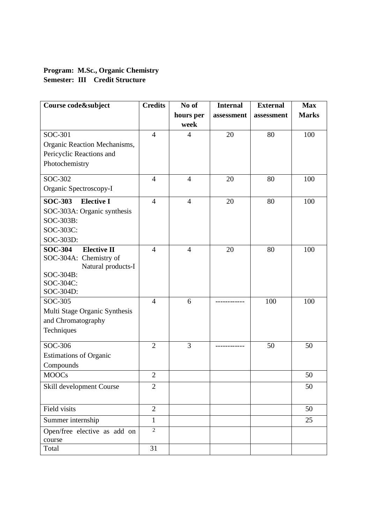# **Program: M.Sc., Organic Chemistry Semester: III Credit Structure**

| Course code&subject                    | <b>Credits</b> | No of          | <b>Internal</b> | <b>External</b> | <b>Max</b>   |
|----------------------------------------|----------------|----------------|-----------------|-----------------|--------------|
|                                        |                | hours per      | assessment      | assessment      | <b>Marks</b> |
|                                        |                | week           |                 |                 |              |
| SOC-301                                | $\overline{4}$ | $\overline{4}$ | 20              | 80              | 100          |
| Organic Reaction Mechanisms,           |                |                |                 |                 |              |
| Pericyclic Reactions and               |                |                |                 |                 |              |
| Photochemistry                         |                |                |                 |                 |              |
| SOC-302                                | $\overline{4}$ | $\overline{4}$ | 20              | 80              | 100          |
| Organic Spectroscopy-I                 |                |                |                 |                 |              |
| <b>Elective I</b><br><b>SOC-303</b>    | $\overline{4}$ | $\overline{4}$ | 20              | 80              | 100          |
| SOC-303A: Organic synthesis            |                |                |                 |                 |              |
| SOC-303B:                              |                |                |                 |                 |              |
| SOC-303C:                              |                |                |                 |                 |              |
| SOC-303D:                              |                |                |                 |                 |              |
| <b>SOC-304</b><br><b>Elective II</b>   | $\overline{4}$ | $\overline{4}$ | 20              | 80              | 100          |
| SOC-304A: Chemistry of                 |                |                |                 |                 |              |
| Natural products-I                     |                |                |                 |                 |              |
| SOC-304B:<br>SOC-304C:                 |                |                |                 |                 |              |
| SOC-304D:                              |                |                |                 |                 |              |
| SOC-305                                | $\overline{4}$ | 6              |                 | 100             | 100          |
| Multi Stage Organic Synthesis          |                |                |                 |                 |              |
| and Chromatography                     |                |                |                 |                 |              |
| Techniques                             |                |                |                 |                 |              |
|                                        |                |                |                 |                 |              |
| SOC-306                                | $\overline{2}$ | 3              |                 | 50              | 50           |
| <b>Estimations of Organic</b>          |                |                |                 |                 |              |
| Compounds                              |                |                |                 |                 |              |
| <b>MOOCs</b>                           | $\overline{2}$ |                |                 |                 | 50           |
| Skill development Course               | $\overline{2}$ |                |                 |                 | 50           |
|                                        |                |                |                 |                 |              |
| Field visits                           | $\overline{2}$ |                |                 |                 | 50           |
| Summer internship                      | $\mathbf{1}$   |                |                 |                 | 25           |
| Open/free elective as add on<br>course | $\overline{2}$ |                |                 |                 |              |
| Total                                  | 31             |                |                 |                 |              |
|                                        |                |                |                 |                 |              |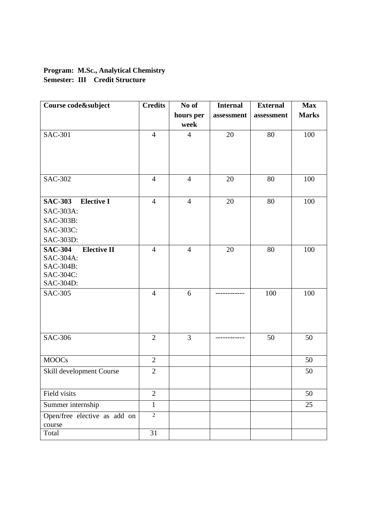# **Program: M.Sc., Analytical Chemistry Semester: III Credit Structure**

| Course code&subject                  | <b>Credits</b> | No of          | <b>Internal</b> | <b>External</b> | <b>Max</b>   |
|--------------------------------------|----------------|----------------|-----------------|-----------------|--------------|
|                                      |                | hours per      | assessment      | assessment      | <b>Marks</b> |
|                                      |                | week           |                 |                 |              |
| <b>SAC-301</b>                       | $\overline{4}$ | $\overline{4}$ | 20              | 80              | 100          |
|                                      |                |                |                 |                 |              |
|                                      |                |                |                 |                 |              |
|                                      |                |                |                 |                 |              |
| <b>SAC-302</b>                       | $\overline{4}$ | $\overline{4}$ | 20              | 80              | 100          |
|                                      |                |                |                 |                 |              |
| <b>Elective I</b><br><b>SAC-303</b>  | $\overline{4}$ | $\overline{4}$ | 20              | 80              | 100          |
| SAC-303A:                            |                |                |                 |                 |              |
| SAC-303B:                            |                |                |                 |                 |              |
| SAC-303C:                            |                |                |                 |                 |              |
| SAC-303D:                            |                |                |                 |                 |              |
| <b>SAC-304</b><br><b>Elective II</b> | $\overline{4}$ | $\overline{4}$ | 20              | 80              | 100          |
| SAC-304A:                            |                |                |                 |                 |              |
| SAC-304B:                            |                |                |                 |                 |              |
| SAC-304C:                            |                |                |                 |                 |              |
| SAC-304D:                            |                |                |                 |                 |              |
| <b>SAC-305</b>                       | $\overline{4}$ | 6              |                 | 100             | 100          |
|                                      |                |                |                 |                 |              |
|                                      |                |                |                 |                 |              |
|                                      |                |                |                 |                 |              |
| <b>SAC-306</b>                       | $\overline{2}$ | $\overline{3}$ |                 | 50              | 50           |
|                                      |                |                |                 |                 |              |
|                                      | $\overline{2}$ |                |                 |                 |              |
| <b>MOOCs</b>                         |                |                |                 |                 | 50           |
| Skill development Course             | $\overline{2}$ |                |                 |                 | 50           |
|                                      |                |                |                 |                 |              |
| Field visits                         | $\overline{2}$ |                |                 |                 | 50           |
| Summer internship                    | $\mathbf{1}$   |                |                 |                 | 25           |
| Open/free elective as add on         | $\overline{2}$ |                |                 |                 |              |
| course                               |                |                |                 |                 |              |
| Total                                | 31             |                |                 |                 |              |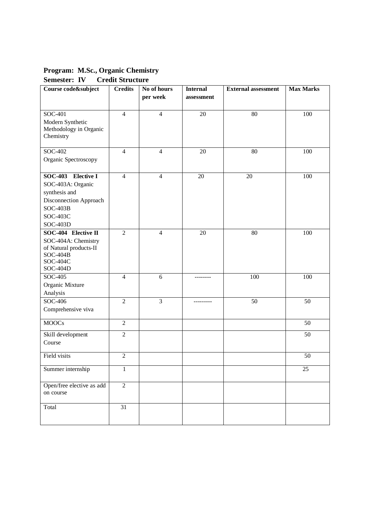**Program: M.Sc., Organic Chemistry Semester: IV Credit Structure**

| Course code&subject                  | <b>Credits</b> | No of hours    | <b>Internal</b> | <b>External assessment</b> | <b>Max Marks</b> |
|--------------------------------------|----------------|----------------|-----------------|----------------------------|------------------|
|                                      |                | per week       | assessment      |                            |                  |
|                                      |                |                |                 |                            |                  |
| SOC-401                              | $\overline{4}$ | $\overline{4}$ | 20              | 80                         | 100              |
| Modern Synthetic                     |                |                |                 |                            |                  |
| Methodology in Organic               |                |                |                 |                            |                  |
| Chemistry                            |                |                |                 |                            |                  |
| SOC-402                              | $\overline{4}$ | $\overline{4}$ | 20              | 80                         | 100              |
| Organic Spectroscopy                 |                |                |                 |                            |                  |
|                                      |                |                |                 |                            |                  |
| SOC-403 Elective I                   | $\overline{4}$ | $\overline{4}$ | 20              | 20                         | 100              |
| SOC-403A: Organic                    |                |                |                 |                            |                  |
| synthesis and                        |                |                |                 |                            |                  |
| Disconnection Approach               |                |                |                 |                            |                  |
| $SOC-403B$                           |                |                |                 |                            |                  |
| SOC-403C                             |                |                |                 |                            |                  |
| SOC-403D                             |                |                |                 |                            |                  |
| SOC-404 Elective II                  | $\overline{2}$ | $\overline{4}$ | 20              | 80                         | 100              |
| SOC-404A: Chemistry                  |                |                |                 |                            |                  |
| of Natural products-II<br>$SOC-404B$ |                |                |                 |                            |                  |
| SOC-404C                             |                |                |                 |                            |                  |
| <b>SOC-404D</b>                      |                |                |                 |                            |                  |
| SOC-405                              | $\overline{4}$ | 6              | --------        | 100                        | 100              |
| Organic Mixture                      |                |                |                 |                            |                  |
| Analysis                             |                |                |                 |                            |                  |
| SOC-406                              | $\overline{2}$ | $\overline{3}$ | ---------       | 50                         | 50               |
| Comprehensive viva                   |                |                |                 |                            |                  |
| <b>MOOCs</b>                         | $\overline{2}$ |                |                 |                            | 50               |
|                                      |                |                |                 |                            |                  |
| Skill development                    | $\overline{2}$ |                |                 |                            | 50               |
| Course                               |                |                |                 |                            |                  |
| Field visits                         | $\mathfrak{2}$ |                |                 |                            | 50               |
| Summer internship                    | 1              |                |                 |                            | 25               |
|                                      |                |                |                 |                            |                  |
| Open/free elective as add            | $\overline{2}$ |                |                 |                            |                  |
| on course                            |                |                |                 |                            |                  |
| Total                                | 31             |                |                 |                            |                  |
|                                      |                |                |                 |                            |                  |
|                                      |                |                |                 |                            |                  |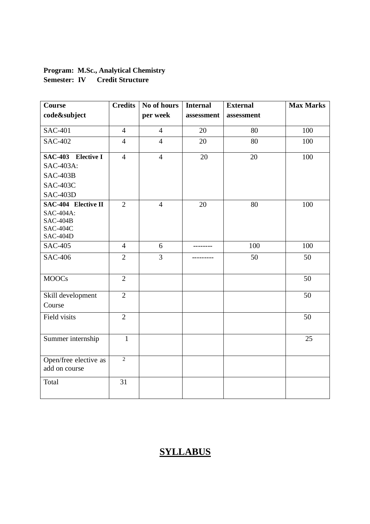# **Program: M.Sc., Analytical Chemistry Semester: IV Credit Structure**

| Course                             | <b>Credits</b> | No of hours    | <b>Internal</b> | <b>External</b> | <b>Max Marks</b> |
|------------------------------------|----------------|----------------|-----------------|-----------------|------------------|
| code&subject                       |                | per week       | assessment      | assessment      |                  |
| <b>SAC-401</b>                     | $\overline{4}$ | $\overline{4}$ | 20              | 80              | 100              |
| <b>SAC-402</b>                     | $\overline{4}$ | $\overline{4}$ | 20              | 80              | 100              |
| SAC-403 Elective I                 | $\overline{4}$ | $\overline{4}$ | 20              | 20              | 100              |
| SAC-403A:                          |                |                |                 |                 |                  |
| $SAC-403B$                         |                |                |                 |                 |                  |
| <b>SAC-403C</b>                    |                |                |                 |                 |                  |
| SAC-403D                           |                |                |                 |                 |                  |
| <b>SAC-404 Elective II</b>         | $\overline{2}$ | $\overline{4}$ | 20              | 80              | 100              |
| SAC-404A:                          |                |                |                 |                 |                  |
| $SAC-404B$                         |                |                |                 |                 |                  |
| <b>SAC-404C</b><br><b>SAC-404D</b> |                |                |                 |                 |                  |
| <b>SAC-405</b>                     | $\overline{4}$ | 6              | ---------       | 100             | 100              |
| <b>SAC-406</b>                     | $\overline{2}$ | $\overline{3}$ |                 | 50              | 50               |
|                                    |                |                |                 |                 |                  |
| <b>MOOCs</b>                       | $\overline{2}$ |                |                 |                 | 50               |
|                                    |                |                |                 |                 |                  |
| Skill development                  | $\overline{2}$ |                |                 |                 | 50               |
| Course                             |                |                |                 |                 |                  |
| Field visits                       | $\overline{2}$ |                |                 |                 | 50               |
|                                    |                |                |                 |                 |                  |
| Summer internship                  | $\mathbf{1}$   |                |                 |                 | 25               |
|                                    |                |                |                 |                 |                  |
| Open/free elective as              | $\overline{2}$ |                |                 |                 |                  |
| add on course                      |                |                |                 |                 |                  |
| Total                              | 31             |                |                 |                 |                  |
|                                    |                |                |                 |                 |                  |

# **SYLLABUS**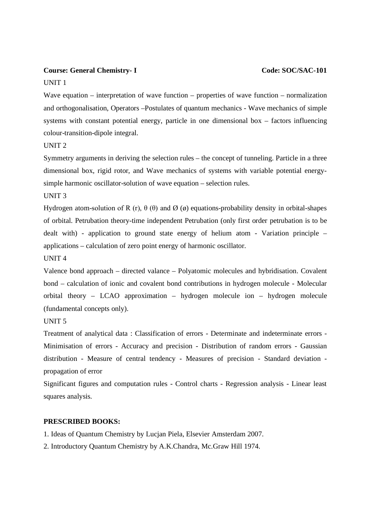#### **Course: General Chemistry-I** Code: **SOC/SAC-101**

#### UNIT 1

Wave equation – interpretation of wave function – properties of wave function – normalization and orthogonalisation, Operators –Postulates of quantum mechanics - Wave mechanics of simple systems with constant potential energy, particle in one dimensional box – factors influencing colour-transition-dipole integral.

#### UNIT 2

Symmetry arguments in deriving the selection rules – the concept of tunneling. Particle in a three dimensional box, rigid rotor, and Wave mechanics of systems with variable potential energysimple harmonic oscillator-solution of wave equation – selection rules.

#### UNIT 3

Hydrogen atom-solution of R (r),  $\theta$  ( $\theta$ ) and Ø ( $\phi$ ) equations-probability density in orbital-shapes of orbital. Petrubation theory-time independent Petrubation (only first order petrubation is to be dealt with) - application to ground state energy of helium atom - Variation principle – applications – calculation of zero point energy of harmonic oscillator.

#### UNIT 4

Valence bond approach – directed valance – Polyatomic molecules and hybridisation. Covalent bond – calculation of ionic and covalent bond contributions in hydrogen molecule - Molecular orbital theory – LCAO approximation – hydrogen molecule ion – hydrogen molecule (fundamental concepts only).

#### UNIT 5

Treatment of analytical data : Classification of errors - Determinate and indeterminate errors - Minimisation of errors - Accuracy and precision - Distribution of random errors - Gaussian distribution - Measure of central tendency - Measures of precision - Standard deviation propagation of error

Significant figures and computation rules - Control charts - Regression analysis - Linear least squares analysis.

#### **PRESCRIBED BOOKS:**

1. Ideas of Quantum Chemistry by Lucjan Piela, Elsevier Amsterdam 2007.

2. Introductory Quantum Chemistry by A.K.Chandra, Mc.Graw Hill 1974.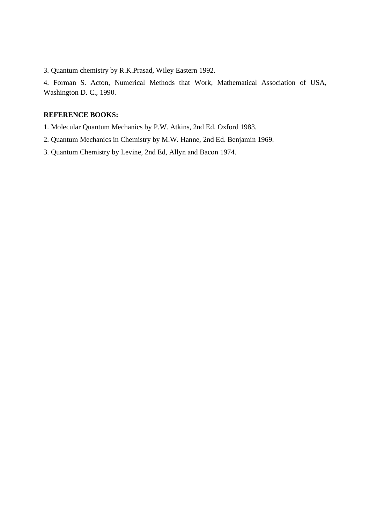3. Quantum chemistry by R.K.Prasad, Wiley Eastern 1992.

4. Forman S. Acton, Numerical Methods that Work, Mathematical Association of USA, Washington D. C., 1990.

## **REFERENCE BOOKS:**

- 1. Molecular Quantum Mechanics by P.W. Atkins, 2nd Ed. Oxford 1983.
- 2. Quantum Mechanics in Chemistry by M.W. Hanne, 2nd Ed. Benjamin 1969.
- 3. Quantum Chemistry by Levine, 2nd Ed, Allyn and Bacon 1974.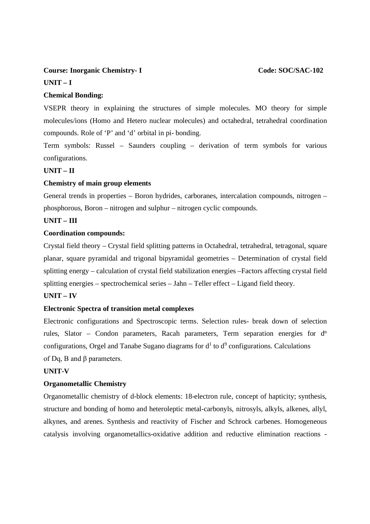### **Course: Inorganic Chemistry-I** Code: SOC/SAC-102

#### **UNIT – I**

#### **Chemical Bonding:**

VSEPR theory in explaining the structures of simple molecules. MO theory for simple molecules/ions (Homo and Hetero nuclear molecules) and octahedral, tetrahedral coordination compounds. Role of 'P' and 'd' orbital in pi- bonding.

Term symbols: Russel – Saunders coupling – derivation of term symbols for various configurations.

### **UNIT – II**

#### **Chemistry of main group elements**

General trends in properties – Boron hydrides, carboranes, intercalation compounds, nitrogen – phosphorous, Boron – nitrogen and sulphur – nitrogen cyclic compounds.

#### **UNIT – III**

#### **Coordination compounds:**

Crystal field theory – Crystal field splitting patterns in Octahedral, tetrahedral, tetragonal, square planar, square pyramidal and trigonal bipyramidal geometries – Determination of crystal field splitting energy – calculation of crystal field stabilization energies –Factors affecting crystal field splitting energies – spectrochemical series – Jahn – Teller effect – Ligand field theory.

#### **UNIT – IV**

### **Electronic Spectra of transition metal complexes**

Electronic configurations and Spectroscopic terms. Selection rules- break down of selection rules, Slator – Condon parameters, Racah parameters, Term separation energies for  $d<sup>n</sup>$ configurations, Orgel and Tanabe Sugano diagrams for  $d<sup>1</sup>$  to  $d<sup>9</sup>$  configurations. Calculations of Dq, B and β parameters.

#### **UNIT-V**

#### **Organometallic Chemistry**

Organometallic chemistry of d-block elements: 18-electron rule, concept of hapticity; synthesis, structure and bonding of homo and heteroleptic metal-carbonyls, nitrosyls, alkyls, alkenes, allyl, alkynes, and arenes. Synthesis and reactivity of Fischer and Schrock carbenes. Homogeneous catalysis involving organometallics-oxidative addition and reductive elimination reactions -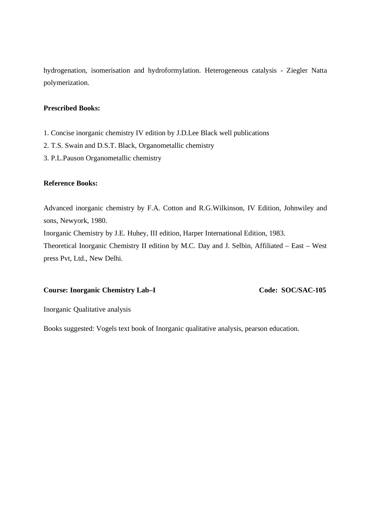hydrogenation, isomerisation and hydroformylation. Heterogeneous catalysis - Ziegler Natta polymerization.

### **Prescribed Books:**

- 1. Concise inorganic chemistry IV edition by J.D.Lee Black well publications
- 2. T.S. Swain and D.S.T. Black, Organometallic chemistry
- 3. P.L.Pauson Organometallic chemistry

#### **Reference Books:**

Advanced inorganic chemistry by F.A. Cotton and R.G.Wilkinson, IV Edition, Johnwiley and sons, Newyork, 1980. Inorganic Chemistry by J.E. Huhey, III edition, Harper International Edition, 1983.

Theoretical Inorganic Chemistry II edition by M.C. Day and J. Selbin, Affiliated – East – West press Pvt, Ltd., New Delhi.

#### **Course: Inorganic Chemistry Lab–I Code: SOC/SAC-105**

Inorganic Qualitative analysis

Books suggested: Vogels text book of Inorganic qualitative analysis, pearson education.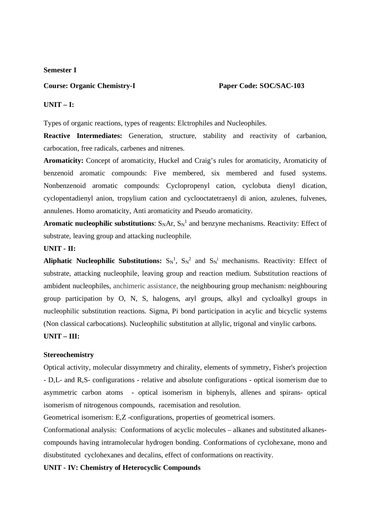#### **Semester I**

#### **Course: Organic Chemistry-I Paper Code: SOC/SAC-103**

#### **UNIT – I:**

Types of organic reactions, types of reagents: Elctrophiles and Nucleophiles.

**Reactive Intermediates:** Generation, structure, stability and reactivity of carbanion, carbocation, free radicals, carbenes and nitrenes.

**Aromaticity:** Concept of aromaticity, Huckel and Craig's rules for aromaticity, Aromaticity of benzenoid aromatic compounds: Five membered, six membered and fused systems. Nonbenzenoid aromatic compounds: Cyclopropenyl cation, cyclobuta dienyl dication, cyclopentadienyl anion, tropylium cation and cyclooctatetraenyl di anion, azulenes, fulvenes, annulenes. Homo aromaticity, Anti aromaticity and Pseudo aromaticity.

**Aromatic nucleophilic substitutions**:  $S_NAr$ ,  $S_N<sup>1</sup>$  and benzyne mechanisms. Reactivity: Effect of substrate, leaving group and attacking nucleophile.

#### **UNIT - II:**

Aliphatic Nucleophilic Substitutions:  $S_N^1$ ,  $S_N^2$  and  $S_N^i$  mechanisms. Reactivity: Effect of substrate, attacking nucleophile, leaving group and reaction medium. Substitution reactions of ambident nucleophiles, anchimeric assistance, the neighbouring group mechanism: neighbouring group participation by O, N, S, halogens, aryl groups, alkyl and cycloalkyl groups in nucleophilic substitution reactions. Sigma, Pi bond participation in acylic and bicyclic systems (Non classical carbocations). Nucleophilic substitution at allylic, trigonal and vinylic carbons.

### **UNIT – III:**

#### **Stereochemistry**

Optical activity, molecular dissymmetry and chirality, elements of symmetry, Fisher's projection - D,L- and R,S- configurations - relative and absolute configurations - optical isomerism due to asymmetric carbon atoms - optical isomerism in biphenyls, allenes and spirans- optical isomerism of nitrogenous compounds, racemisation and resolution.

Geometrical isomerism: E,Z -configurations, properties of geometrical isomers.

Conformational analysis: Conformations of acyclic molecules – alkanes and substituted alkanescompounds having intramolecular hydrogen bonding. Conformations of cyclohexane, mono and disubstituted cyclohexanes and decalins, effect of conformations on reactivity.

#### **UNIT - IV: Chemistry of Heterocyclic Compounds**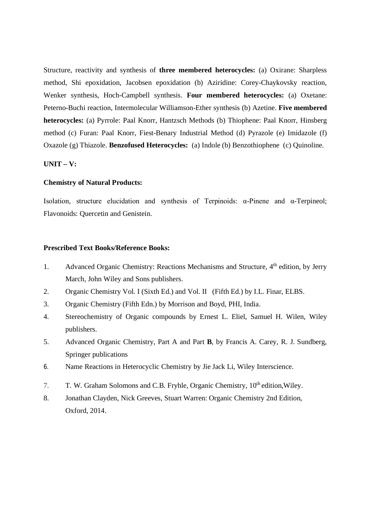Structure, reactivity and synthesis of **three membered heterocycles:** (a) Oxirane: Sharpless method, Shi epoxidation, Jacobsen epoxidation (b) Aziridine: Corey-Chaykovsky reaction, Wenker synthesis, Hoch-Campbell synthesis. **Four membered heterocycles:** (a) Oxetane: Peterno-Buchi reaction, Intermolecular Williamson-Ether synthesis (b) Azetine. **Five membered heterocycles:** (a) Pyrrole: Paal Knorr, Hantzsch Methods (b) Thiophene: Paal Knorr, Hinsberg method (c) Furan: Paal Knorr, Fiest-Benary Industrial Method (d) Pyrazole (e) Imidazole (f) Oxazole (g) Thiazole. **Benzofused Heterocycles:** (a) Indole (b) Benzothiophene (c) Quinoline.

#### **UNIT – V:**

### **Chemistry of Natural Products:**

Isolation, structure elucidation and synthesis of Terpinoids: α-Pinene and α-Terpineol; Flavonoids: Quercetin and Genistein.

#### **Prescribed Text Books/Reference Books:**

- 1. Advanced Organic Chemistry: Reactions Mechanisms and Structure, 4<sup>th</sup> edition, by Jerry March, John Wiley and Sons publishers.
- 2. Organic Chemistry Vol. I (Sixth Ed.) and Vol. II (Fifth Ed.) by I.L. Finar, ELBS.
- 3. Organic Chemistry (Fifth Edn.) by Morrison and Boyd, PHI, India.
- 4. Stereochemistry of Organic compounds by Ernest L. Eliel, Samuel H. Wilen, Wiley publishers.
- 5. Advanced Organic Chemistry, Part A and Part **B**, by Francis A. Carey, R. J. Sundberg, Springer publications
- 6. Name Reactions in Heterocyclic Chemistry by Jie Jack Li, Wiley Interscience.
- 7. T. W. Graham Solomons and C.B. Fryhle, Organic Chemistry, 10<sup>th</sup> edition, Wiley.
- 8. Jonathan Clayden, Nick Greeves, Stuart Warren: Organic Chemistry 2nd Edition, Oxford, 2014.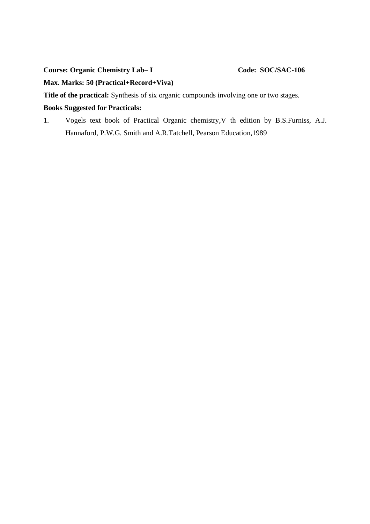**Course: Organic Chemistry Lab–I Code: SOC/SAC-106** 

**Max. Marks: 50 (Practical+Record+Viva)**

**Title of the practical:** Synthesis of six organic compounds involving one or two stages.

# **Books Suggested for Practicals:**

1. Vogels text book of Practical Organic chemistry,V th edition by B.S.Furniss, A.J. Hannaford, P.W.G. Smith and A.R.Tatchell, Pearson Education,1989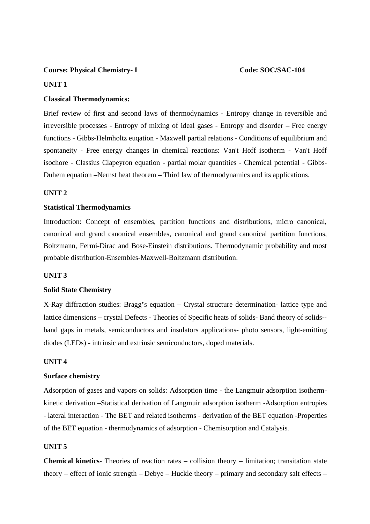#### **Course: Physical Chemistry-I** Code: SOC/SAC-104

#### **UNIT 1**

#### **Classical Thermodynamics:**

Brief review of first and second laws of thermodynamics - Entropy change in reversible and irreversible processes - Entropy of mixing of ideal gases - Entropy and disorder **–** Free energy functions - Gibbs-Helmholtz euqation - Maxwell partial relations - Conditions of equilibrium and spontaneity - Free energy changes in chemical reactions: Van't Hoff isotherm - Van't Hoff isochore - Classius Clapeyron equation - partial molar quantities - Chemical potential - Gibbs-Duhem equation **–**Nernst heat theorem **–** Third law of thermodynamics and its applications.

#### **UNIT 2**

#### **Statistical Thermodynamics**

Introduction: Concept of ensembles, partition functions and distributions, micro canonical, canonical and grand canonical ensembles, canonical and grand canonical partition functions, Boltzmann, Fermi-Dirac and Bose-Einstein distributions. Thermodynamic probability and most probable distribution-Ensembles-Maxwell-Boltzmann distribution.

#### **UNIT 3**

#### **Solid State Chemistry**

X-Ray diffraction studies: Bragg**'**s equation **–** Crystal structure determination- lattice type and lattice dimensions **–** crystal Defects - Theories of Specific heats of solids- Band theory of solids- band gaps in metals, semiconductors and insulators applications- photo sensors, light-emitting diodes (LEDs) - intrinsic and extrinsic semiconductors, doped materials.

#### **UNIT 4**

#### **Surface chemistry**

Adsorption of gases and vapors on solids: Adsorption time - the Langmuir adsorption isothermkinetic derivation **–**Statistical derivation of Langmuir adsorption isotherm -Adsorption entropies - lateral interaction - The BET and related isotherms - derivation of the BET equation -Properties of the BET equation - thermodynamics of adsorption - Chemisorption and Catalysis.

#### **UNIT 5**

**Chemical kinetics**- Theories of reaction rates **–** collision theory **–** limitation; transitation state theory **–** effect of ionic strength **–** Debye **–** Huckle theory **–** primary and secondary salt effects **–**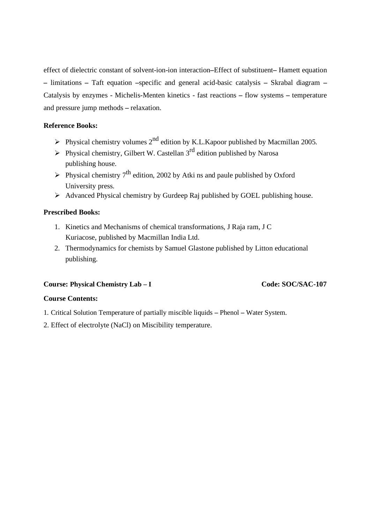effect of dielectric constant of solvent-ion-ion interaction**–**Effect of substituent**–** Hamett equation **–** limitations **–** Taft equation **–**specific and general acid-basic catalysis **–** Skrabal diagram **–** Catalysis by enzymes - Michelis-Menten kinetics - fast reactions **–** flow systems **–** temperature and pressure jump methods **–** relaxation.

### **Reference Books:**

- $\triangleright$  Physical chemistry volumes 2<sup>nd</sup> edition by K.L.Kapoor published by Macmillan 2005.
- $\triangleright$  Physical chemistry, Gilbert W. Castellan 3<sup>rd</sup> edition published by Narosa publishing house.
- $\triangleright$  Physical chemistry 7<sup>th</sup> edition, 2002 by Atki ns and paule published by Oxford University press.
- Advanced Physical chemistry by Gurdeep Raj published by GOEL publishing house.

### **Prescribed Books:**

- 1. Kinetics and Mechanisms of chemical transformations, J Raja ram, J C Kuriacose, published by Macmillan India Ltd.
- 2. Thermodynamics for chemists by Samuel Glastone published by Litton educational publishing.

### **Course: Physical Chemistry Lab – I Code: SOC/SAC-107**

### **Course Contents:**

- 1. Critical Solution Temperature of partially miscible liquids **–** Phenol **–** Water System.
- 2. Effect of electrolyte (NaCl) on Miscibility temperature.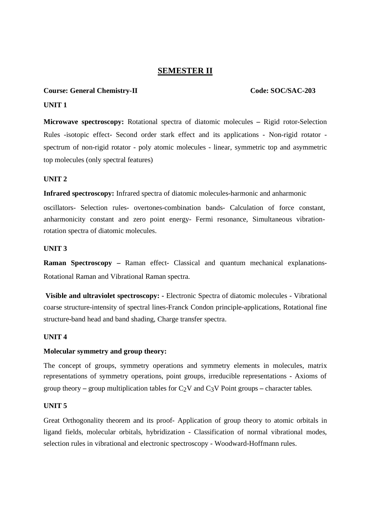# **SEMESTER II**

#### **Course: General Chemistry-II Code: SOC/SAC-203**

#### **UNIT 1**

**Microwave spectroscopy:** Rotational spectra of diatomic molecules **–** Rigid rotor-Selection Rules -isotopic effect- Second order stark effect and its applications - Non-rigid rotator spectrum of non-rigid rotator - poly atomic molecules - linear, symmetric top and asymmetric top molecules (only spectral features)

#### **UNIT 2**

**Infrared spectroscopy:** Infrared spectra of diatomic molecules-harmonic and anharmonic

oscillators- Selection rules- overtones-combination bands- Calculation of force constant, anharmonicity constant and zero point energy- Fermi resonance, Simultaneous vibrationrotation spectra of diatomic molecules.

### **UNIT 3**

**Raman Spectroscopy –** Raman effect- Classical and quantum mechanical explanations-Rotational Raman and Vibrational Raman spectra.

**Visible and ultraviolet spectroscopy: -** Electronic Spectra of diatomic molecules - Vibrational coarse structure-intensity of spectral lines-Franck Condon principle-applications, Rotational fine structure-band head and band shading, Charge transfer spectra.

### **UNIT 4**

#### **Molecular symmetry and group theory:**

The concept of groups, symmetry operations and symmetry elements in molecules, matrix representations of symmetry operations, point groups, irreducible representations - Axioms of group theory – group multiplication tables for  $C_2V$  and  $C_3V$  Point groups – character tables.

#### **UNIT 5**

Great Orthogonality theorem and its proof- Application of group theory to atomic orbitals in ligand fields, molecular orbitals, hybridization - Classification of normal vibrational modes, selection rules in vibrational and electronic spectroscopy - Woodward-Hoffmann rules.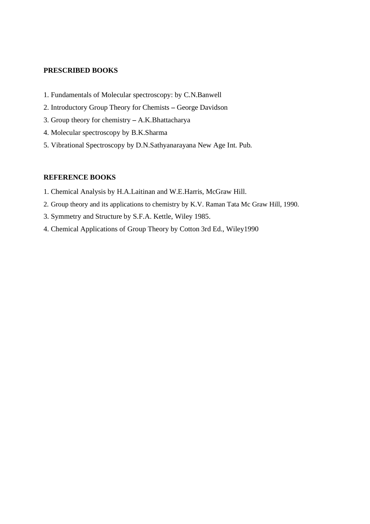#### **PRESCRIBED BOOKS**

- 1. Fundamentals of Molecular spectroscopy: by C.N.Banwell
- 2. Introductory Group Theory for Chemists **–** George Davidson
- 3. Group theory for chemistry **–** A.K.Bhattacharya
- 4. Molecular spectroscopy by B.K.Sharma
- 5. Vibrational Spectroscopy by D.N.Sathyanarayana New Age Int. Pub.

#### **REFERENCE BOOKS**

- 1. Chemical Analysis by H.A.Laitinan and W.E.Harris, McGraw Hill.
- 2. Group theory and its applications to chemistry by K.V. Raman Tata Mc Graw Hill, 1990.
- 3. Symmetry and Structure by S.F.A. Kettle, Wiley 1985.
- 4. Chemical Applications of Group Theory by Cotton 3rd Ed., Wiley1990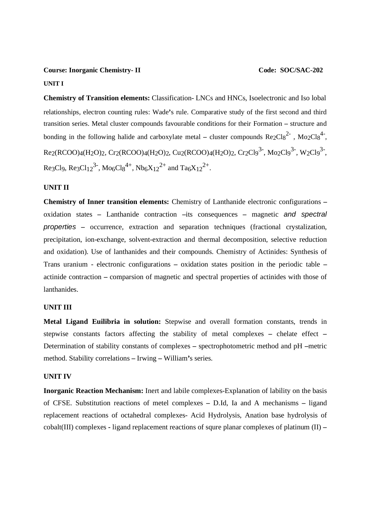#### **Course: Inorganic Chemistry- II Code: SOC/SAC-202**

#### **UNIT I**

**Chemistry of Transition elements:** Classification- LNCs and HNCs, Isoelectronic and Iso lobal relationships, electron counting rules: Wade**'**s rule. Comparative study of the first second and third transition series. Metal cluster compounds favourable conditions for their Formation **–** structure and bonding in the following halide and carboxylate metal – cluster compounds  $Re2Cl_8^{2}$ ,  $Mo2Cl_8^{4}$ ,  $Re_2(RCOO)_4(H_2O)_2, Cr_2(RCOO)_4(H_2O)_2, Cu_2(RCOO)_4(H_2O)_2, Cr_2Cl_9^{3-}, Mo_2Cl_9^{3-}, W_2Cl_9^{3-},$ Re3Cl9, Re3Cl<sub>12</sub><sup>3-</sup>, Mo<sub>6</sub>Cl<sub>8</sub><sup>4+</sup>, Nb<sub>6</sub>X<sub>12</sub><sup>2+</sup> and Ta<sub>6</sub>X<sub>12</sub><sup>2+</sup>.

#### **UNIT II**

**Chemistry of Inner transition elements:** Chemistry of Lanthanide electronic configurations **–** oxidation states **–** Lanthanide contraction **–**its consequences **–** magnetic *and spectral properties –* occurrence, extraction and separation techniques (fractional crystalization, precipitation, ion-exchange, solvent-extraction and thermal decomposition, selective reduction and oxidation). Use of lanthanides and their compounds. Chemistry of Actinides: Synthesis of Trans uranium - electronic configurations **–** oxidation states position in the periodic table **–** actinide contraction **–** comparsion of magnetic and spectral properties of actinides with those of lanthanides.

#### **UNIT III**

**Metal Ligand Euilibria in solution:** Stepwise and overall formation constants, trends in stepwise constants factors affecting the stability of metal complexes **–** chelate effect **–** Determination of stability constants of complexes **–** spectrophotometric method and pH **–**metric method. Stability correlations **–** Irwing **–** William**'**s series.

#### **UNIT IV**

**Inorganic Reaction Mechanism:** Inert and labile complexes-Explanation of lability on the basis of CFSE. Substitution reactions of metel complexes **–** D.Id, Ia and A mechanisms **–** ligand replacement reactions of octahedral complexes- Acid Hydrolysis, Anation base hydrolysis of cobalt(III) complexes **-** ligand replacement reactions of squre planar complexes of platinum (II) **–**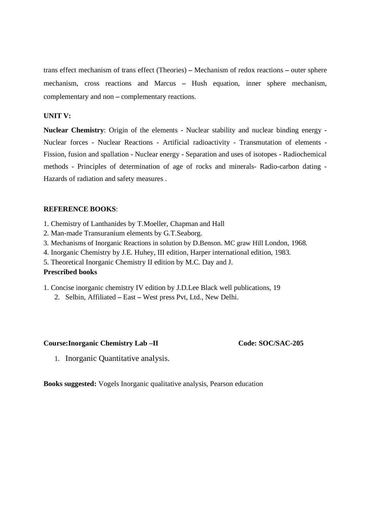trans effect mechanism of trans effect (Theories) **–** Mechanism of redox reactions **–** outer sphere mechanism, cross reactions and Marcus **–** Hush equation, inner sphere mechanism, complementary and non **–** complementary reactions.

#### **UNIT V:**

**Nuclear Chemistry**: Origin of the elements - Nuclear stability and nuclear binding energy - Nuclear forces - Nuclear Reactions - Artificial radioactivity - Transmutation of elements - Fission, fusion and spallation - Nuclear energy - Separation and uses of isotopes - Radiochemical methods - Principles of determination of age of rocks and minerals- Radio-carbon dating - Hazards of radiation and safety measures .

#### **REFERENCE BOOKS**:

- 1. Chemistry of Lanthanides by T.Moeller, Chapman and Hall
- 2. Man-made Transuranium elements by G.T.Seaborg.
- 3. Mechanisms of Inorganic Reactions in solution by D.Benson. MC graw Hill London, 1968.
- 4. Inorganic Chemistry by J.E. Huhey, III edition, Harper international edition, 1983.
- 5. Theoretical Inorganic Chemistry II edition by M.C. Day and J.

#### **Prescribed books**

- 1. Concise inorganic chemistry IV edition by J.D.Lee Black well publications, 19
	- 2. Selbin, Affiliated **–** East **–** West press Pvt, Ltd., New Delhi.

#### Course:Inorganic Chemistry Lab –II Code: SOC/SAC-205

1. Inorganic Quantitative analysis.

**Books suggested:** Vogels Inorganic qualitative analysis, Pearson education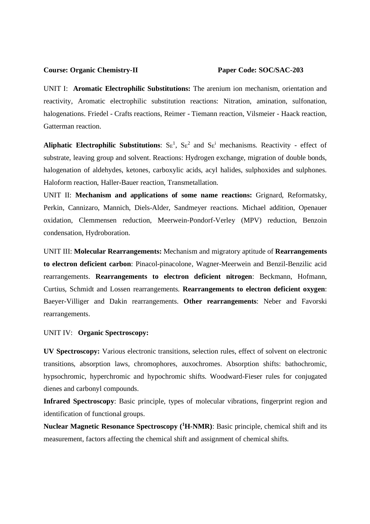#### **Course: Organic Chemistry-II Paper Code: SOC/SAC-203**

UNIT I: **Aromatic Electrophilic Substitutions:** The arenium ion mechanism, orientation and reactivity, Aromatic electrophilic substitution reactions: Nitration, amination, sulfonation, halogenations. Friedel - Crafts reactions, Reimer - Tiemann reaction, Vilsmeier - Haack reaction, Gatterman reaction.

**Aliphatic Electrophilic Substitutions:**  $S_E^1$ ,  $S_E^2$  and  $S_E^i$  mechanisms. Reactivity - effect of substrate, leaving group and solvent. Reactions: Hydrogen exchange, migration of double bonds, halogenation of aldehydes, ketones, carboxylic acids, acyl halides, sulphoxides and sulphones. Haloform reaction, Haller-Bauer reaction, Transmetallation.

UNIT II: **Mechanism and applications of some name reactions:** Grignard, Reformatsky, Perkin, Cannizaro, Mannich, Diels-Alder, Sandmeyer reactions. Michael addition, Openauer oxidation, Clemmensen reduction, Meerwein-Pondorf-Verley (MPV) reduction, Benzoin condensation, Hydroboration.

UNIT III: **Molecular Rearrangements:** Mechanism and migratory aptitude of **Rearrangements to electron deficient carbon**: Pinacol-pinacolone, Wagner-Meerwein and Benzil-Benzilic acid rearrangements. **Rearrangements to electron deficient nitrogen**: Beckmann, Hofmann, Curtius, Schmidt and Lossen rearrangements. **Rearrangements to electron deficient oxygen**: Baeyer-Villiger and Dakin rearrangements. **Other rearrangements**: Neber and Favorski rearrangements.

#### UNIT IV: **Organic Spectroscopy:**

**UV Spectroscopy:** Various electronic transitions, selection rules, effect of solvent on electronic transitions, absorption laws, chromophores, auxochromes. Absorption shifts: bathochromic, hypsochromic, hyperchromic and hypochromic shifts. Woodward-Fieser rules for conjugated dienes and carbonyl compounds.

**Infrared Spectroscopy**: Basic principle, types of molecular vibrations, fingerprint region and identification of functional groups.

**Nuclear Magnetic Resonance Spectroscopy (<sup>1</sup>H-NMR)**: Basic principle, chemical shift and its measurement, factors affecting the chemical shift and assignment of chemical shifts.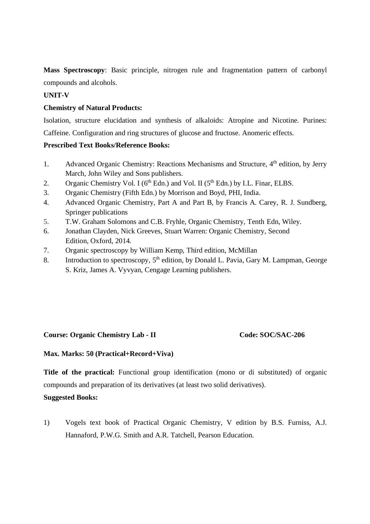**Mass Spectroscopy**: Basic principle, nitrogen rule and fragmentation pattern of carbonyl compounds and alcohols.

## **UNIT-V**

### **Chemistry of Natural Products:**

Isolation, structure elucidation and synthesis of alkaloids: Atropine and Nicotine. Purines: Caffeine. Configuration and ring structures of glucose and fructose. Anomeric effects.

### **Prescribed Text Books/Reference Books:**

- 1. Advanced Organic Chemistry: Reactions Mechanisms and Structure, 4<sup>th</sup> edition, by Jerry March, John Wiley and Sons publishers.
- 2. Organic Chemistry Vol. I ( $6<sup>th</sup>$  Edn.) and Vol. II ( $5<sup>th</sup>$  Edn.) by I.L. Finar, ELBS.
- 3. Organic Chemistry (Fifth Edn.) by Morrison and Boyd, PHI, India.
- 4. Advanced Organic Chemistry, Part A and Part B, by Francis A. Carey, R. J. Sundberg, Springer publications
- 5. T.W. Graham Solomons and C.B. Fryhle, Organic Chemistry, Tenth Edn, Wiley.
- 6. Jonathan Clayden, Nick Greeves, Stuart Warren: Organic Chemistry, Second Edition, Oxford, 2014.
- 7. Organic spectroscopy by William Kemp, Third edition, McMillan
- 8. Introduction to spectroscopy,  $5<sup>th</sup>$  edition, by Donald L. Pavia, Gary M. Lampman, George S. Kriz, James A. Vyvyan, Cengage Learning publishers.

### **Course: Organic Chemistry Lab - II Code: SOC/SAC-206**

### **Max. Marks: 50 (Practical+Record+Viva)**

**Title of the practical:** Functional group identification (mono or di substituted) of organic compounds and preparation of its derivatives (at least two solid derivatives).

### **Suggested Books:**

1) Vogels text book of Practical Organic Chemistry, V edition by B.S. Furniss, A.J. Hannaford, P.W.G. Smith and A.R. Tatchell, Pearson Education.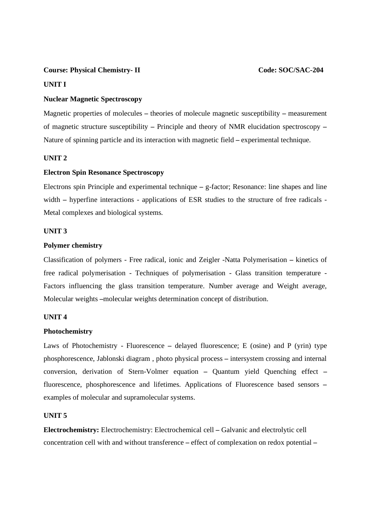#### **Course: Physical Chemistry- II Code: SOC/SAC-204**

#### **UNIT I**

#### **Nuclear Magnetic Spectroscopy**

Magnetic properties of molecules **–** theories of molecule magnetic susceptibility **–** measurement of magnetic structure susceptibility **–** Principle and theory of NMR elucidation spectroscopy **–** Nature of spinning particle and its interaction with magnetic field **–** experimental technique.

#### **UNIT 2**

#### **Electron Spin Resonance Spectroscopy**

Electrons spin Principle and experimental technique **–** g-factor; Resonance: line shapes and line width – hyperfine interactions - applications of ESR studies to the structure of free radicals -Metal complexes and biological systems.

#### **UNIT 3**

#### **Polymer chemistry**

Classification of polymers - Free radical, ionic and Zeigler -Natta Polymerisation **–** kinetics of free radical polymerisation - Techniques of polymerisation - Glass transition temperature - Factors influencing the glass transition temperature. Number average and Weight average, Molecular weights **–**molecular weights determination concept of distribution.

#### **UNIT 4**

#### **Photochemistry**

Laws of Photochemistry - Fluorescence **–** delayed fluorescence; E (osine) and P (yrin) type phosphorescence, Jablonski diagram , photo physical process **–** intersystem crossing and internal conversion, derivation of Stern-Volmer equation **–** Quantum yield Quenching effect **–** fluorescence, phosphorescence and lifetimes. Applications of Fluorescence based sensors **–** examples of molecular and supramolecular systems.

#### **UNIT 5**

**Electrochemistry:** Electrochemistry: Electrochemical cell **–** Galvanic and electrolytic cell concentration cell with and without transference **–** effect of complexation on redox potential **–**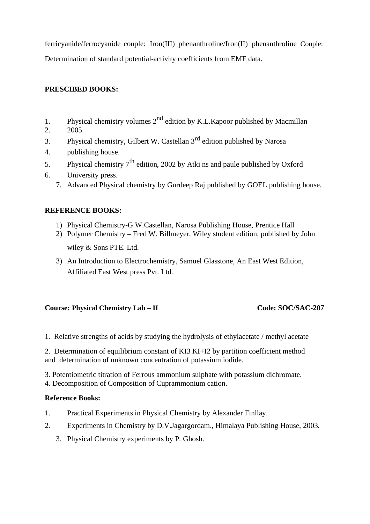ferricyanide/ferrocyanide couple: Iron(III) phenanthroline/Iron(II) phenanthroline Couple: Determination of standard potential-activity coefficients from EMF data.

# **PRESCIBED BOOKS:**

- 1. Physical chemistry volumes  $2^{nd}$  edition by K.L.Kapoor published by Macmillan
- 2. 2005.
- 3. Physical chemistry, Gilbert W. Castellan  $3<sup>rd</sup>$  edition published by Narosa
- 4. publishing house.
- 5. Physical chemistry  $7<sup>th</sup>$  edition, 2002 by Atki ns and paule published by Oxford
- 6. University press.
	- 7. Advanced Physical chemistry by Gurdeep Raj published by GOEL publishing house.

# **REFERENCE BOOKS:**

- 1) Physical Chemistry-G.W.Castellan, Narosa Publishing House, Prentice Hall
- 2) Polymer Chemistry **–** Fred W. Billmeyer, Wiley student edition, published by John

wiley & Sons PTE. Ltd.

3) An Introduction to Electrochemistry, Samuel Glasstone, An East West Edition, Affiliated East West press Pvt. Ltd.

# **Course: Physical Chemistry Lab – II Code: SOC/SAC-207**

1. Relative strengths of acids by studying the hydrolysis of ethylacetate / methyl acetate

2. Determination of equilibrium constant of KI3 KI+I2 by partition coefficient method and determination of unknown concentration of potassium iodide.

3. Potentiometric titration of Ferrous ammonium sulphate with potassium dichromate.

4. Decomposition of Composition of Cuprammonium cation.

# **Reference Books:**

- 1. Practical Experiments in Physical Chemistry by Alexander Finllay.
- 2. Experiments in Chemistry by D.V.Jagargordam., Himalaya Publishing House, 2003.
	- 3. Physical Chemistry experiments by P. Ghosh.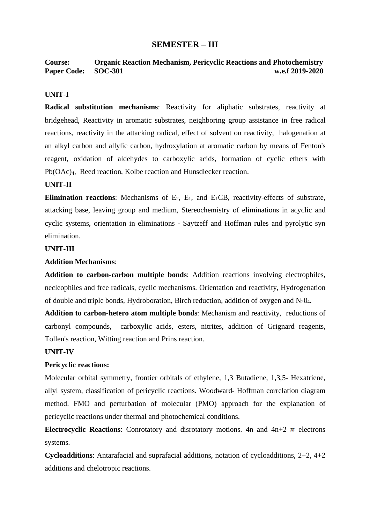# **SEMESTER – III**

**Course: Organic Reaction Mechanism, Pericyclic Reactions and Photochemistry Paper Code:** SOC-301 w.e.f 2019-2020

#### **UNIT-I**

**Radical substitution mechanisms**: Reactivity for aliphatic substrates, reactivity at bridgehead, Reactivity in aromatic substrates, neighboring group assistance in free radical reactions, reactivity in the attacking radical, effect of solvent on reactivity, halogenation at an alkyl carbon and allylic carbon, hydroxylation at aromatic carbon by means of Fenton's reagent, oxidation of aldehydes to carboxylic acids, formation of cyclic ethers with Pb(OAc)4, Reed reaction, Kolbe reaction and Hunsdiecker reaction.

#### **UNIT-II**

**Elimination reactions:** Mechanisms of E<sub>2</sub>, E<sub>1</sub>, and E<sub>1</sub>CB, reactivity-effects of substrate, attacking base, leaving group and medium, Stereochemistry of eliminations in acyclic and cyclic systems, orientation in eliminations - Saytzeff and Hoffman rules and pyrolytic syn elimination.

#### **UNIT-III**

#### **Addition Mechanisms**:

**Addition to carbon-carbon multiple bonds**: Addition reactions involving electrophiles, necleophiles and free radicals, cyclic mechanisms. Orientation and reactivity, Hydrogenation of double and triple bonds, Hydroboration, Birch reduction, addition of oxygen and  $N_2O_4$ .

**Addition to carbon-hetero atom multiple bonds**: Mechanism and reactivity, reductions of carbonyl compounds, carboxylic acids, esters, nitrites, addition of Grignard reagents, Tollen's reaction, Witting reaction and Prins reaction.

#### **UNIT-IV**

#### **Pericyclic reactions:**

Molecular orbital symmetry, frontier orbitals of ethylene, 1,3 Butadiene, 1,3,5- Hexatriene, allyl system, classification of pericyclic reactions. Woodward- Hoffman correlation diagram method. FMO and perturbation of molecular (PMO) approach for the explanation of pericyclic reactions under thermal and photochemical conditions.

**Electrocyclic Reactions:** Conrotatory and disrotatory motions. 4n and  $4n+2 \pi$  electrons systems.

**Cycloadditions**: Antarafacial and suprafacial additions, notation of cycloadditions, 2+2, 4+2 additions and chelotropic reactions.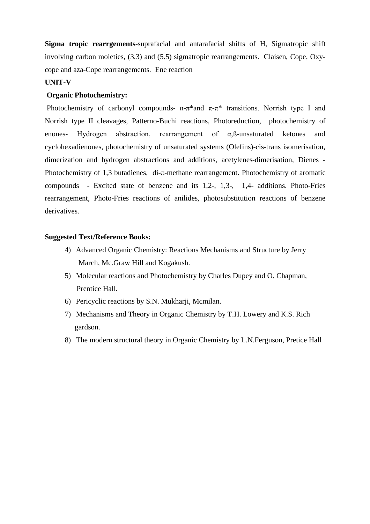**Sigma tropic rearrgements**-suprafacial and antarafacial shifts of H, Sigmatropic shift involving carbon moieties, (3.3) and (5.5) sigmatropic rearrangements. Claisen, Cope, Oxycope and aza-Cope rearrangements. Ene reaction

#### **UNIT-V**

#### **Organic Photochemistry:**

Photochemistry of carbonyl compounds- n-π<sup>\*</sup>and  $\pi$ -π<sup>\*</sup> transitions. Norrish type I and Norrish type II cleavages, Patterno-Buchi reactions, Photoreduction, photochemistry of enones- Hydrogen abstraction, rearrangement of  $\alpha$ ,  $\beta$ -unsaturated ketones and cyclohexadienones, photochemistry of unsaturated systems (Olefins)-cis-trans isomerisation, dimerization and hydrogen abstractions and additions, acetylenes-dimerisation, Dienes - Photochemistry of 1,3 butadienes, di-π-methane rearrangement. Photochemistry of aromatic compounds - Excited state of benzene and its 1,2-, 1,3-, 1,4- additions. Photo-Fries rearrangement, Photo-Fries reactions of anilides, photosubstitution reactions of benzene derivatives.

#### **Suggested Text/Reference Books:**

- 4) Advanced Organic Chemistry: Reactions Mechanisms and Structure by Jerry March, Mc.Graw Hill and Kogakush.
- 5) Molecular reactions and Photochemistry by Charles Dupey and O. Chapman, Prentice Hall.
- 6) Pericyclic reactions by S.N. Mukharji, Mcmilan.
- 7) Mechanisms and Theory in Organic Chemistry by T.H. Lowery and K.S. Rich gardson.
- 8) The modern structural theory in Organic Chemistry by L.N.Ferguson, Pretice Hall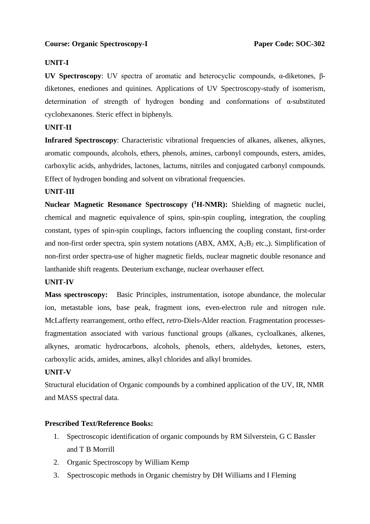# **Course: Organic Spectroscopy-I** Paper Code: SOC-302

# **UNIT-I**

**UV Spectroscopy**: UV spectra of aromatic and heterocyclic compounds, α-diketones, βdiketones, enediones and quinines. Applications of UV Spectroscopy-study of isomerism, determination of strength of hydrogen bonding and conformations of α-substituted cyclohexanones. Steric effect in biphenyls.

# **UNIT-II**

**Infrared Spectroscopy**: Characteristic vibrational frequencies of alkanes, alkenes, alkynes, aromatic compounds, alcohols, ethers, phenols, amines, carbonyl compounds, esters, amides, carboxylic acids, anhydrides, lactones, lactums, nitriles and conjugated carbonyl compounds. Effect of hydrogen bonding and solvent on vibrational frequencies.

# **UNIT-III**

**Nuclear Magnetic Resonance Spectroscopy (<sup>1</sup>H-NMR):** Shielding of magnetic nuclei, chemical and magnetic equivalence of spins, spin-spin coupling, integration, the coupling constant, types of spin-spin couplings, factors influencing the coupling constant, first-order and non-first order spectra, spin system notations (ABX, AMX,  $A_2B_2$  etc.,). Simplification of non-first order spectra-use of higher magnetic fields, nuclear magnetic double resonance and lanthanide shift reagents. Deuterium exchange, nuclear overhauser effect.

#### **UNIT-IV**

**Mass spectroscopy:** Basic Principles, instrumentation, isotope abundance, the molecular ion, metastable ions, base peak, fragment ions, even-electron rule and nitrogen rule. McLafferty rearrangement, ortho effect, *retro*-Diels-Alder reaction. Fragmentation processesfragmentation associated with various functional groups (alkanes, cycloalkanes, alkenes, alkynes, aromatic hydrocarbons, alcohols, phenols, ethers, aldehydes, ketones, esters, carboxylic acids, amides, amines, alkyl chlorides and alkyl bromides.

# **UNIT-V**

Structural elucidation of Organic compounds by a combined application of the UV, IR, NMR and MASS spectral data.

#### **Prescribed Text/Reference Books:**

- 1. Spectroscopic identification of organic compounds by RM Silverstein, G C Bassler and T B Morrill
- 2. Organic Spectroscopy by William Kemp
- 3. Spectroscopic methods in Organic chemistry by DH Williams and I Fleming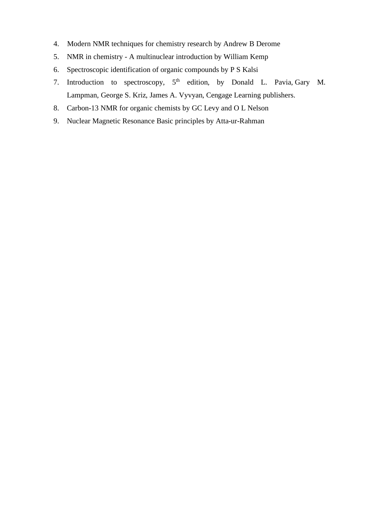- 4. Modern NMR techniques for chemistry research by Andrew B Derome
- 5. NMR in chemistry A multinuclear introduction by William Kemp
- 6. Spectroscopic identification of organic compounds by P S Kalsi
- 7. Introduction to spectroscopy, 5<sup>th</sup> edition, by Donald L. Pavia, Gary M. Lampman, George S. Kriz, James A. Vyvyan, Cengage Learning publishers.
- 8. Carbon-13 NMR for organic chemists by GC Levy and O L Nelson
- 9. Nuclear Magnetic Resonance Basic principles by Atta-ur-Rahman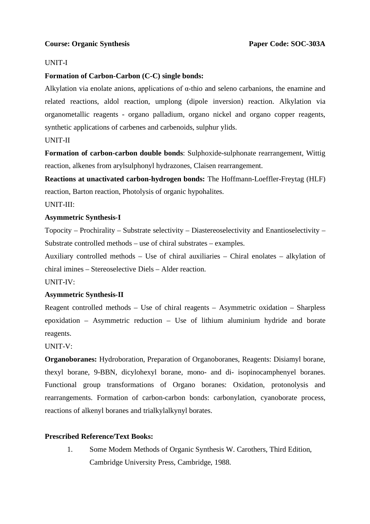## UNIT-I

# **Formation of Carbon-Carbon (C-C) single bonds:**

Alkylation via enolate anions, applications of α-thio and seleno carbanions, the enamine and related reactions, aldol reaction, umplong (dipole inversion) reaction. Alkylation via organometallic reagents - organo palladium, organo nickel and organo copper reagents, synthetic applications of carbenes and carbenoids, sulphur ylids.

#### UNIT-II

**Formation of carbon-carbon double bonds**: Sulphoxide-sulphonate rearrangement, Wittig reaction, alkenes from arylsulphonyl hydrazones, Claisen rearrangement.

**Reactions at unactivated carbon-hydrogen bonds:** The Hoffmann-Loeffler-Freytag (HLF) reaction, Barton reaction, Photolysis of organic hypohalites.

#### UNIT-III:

#### **Asymmetric Synthesis-I**

Topocity – Prochirality – Substrate selectivity – Diastereoselectivity and Enantioselectivity – Substrate controlled methods – use of chiral substrates – examples.

Auxiliary controlled methods – Use of chiral auxiliaries – Chiral enolates – alkylation of chiral imines – Stereoselective Diels – Alder reaction.

UNIT-IV:

# **Asymmetric Synthesis-II**

Reagent controlled methods – Use of chiral reagents – Asymmetric oxidation – Sharpless epoxidation – Asymmetric reduction – Use of lithium aluminium hydride and borate reagents.

# UNIT-V:

**Organoboranes:** Hydroboration, Preparation of Organoboranes, Reagents: Disiamyl borane, thexyl borane, 9-BBN, dicylohexyl borane, mono- and di- isopinocamphenyel boranes. Functional group transformations of Organo boranes: Oxidation, protonolysis and rearrangements. Formation of carbon-carbon bonds: carbonylation, cyanoborate process, reactions of alkenyl boranes and trialkylalkynyl borates.

# **Prescribed Reference/Text Books:**

1. Some Modem Methods of Organic Synthesis W. Carothers, Third Edition, Cambridge University Press, Cambridge, 1988.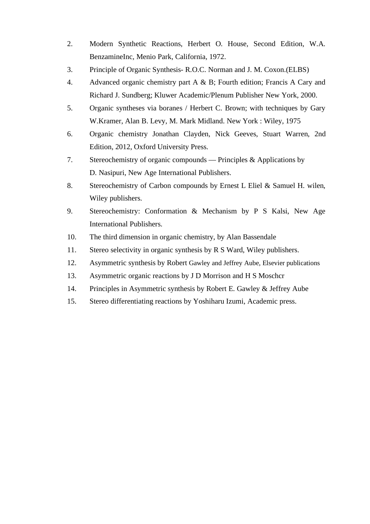- 2. Modern Synthetic Reactions, Herbert O. House, Second Edition, W.A. BenzamineInc, Menio Park, California, 1972.
- 3. Principle of Organic Synthesis- R.O.C. Norman and J. M. Coxon.(ELBS)
- 4. Advanced organic chemistry part A & B; Fourth edition; Francis A Cary and Richard J. Sundberg; Kluwer Academic/Plenum Publisher New York, 2000.
- 5. Organic syntheses via boranes / Herbert C. Brown; with techniques by Gary W.Kramer, Alan B. Levy, M. Mark Midland. New York : Wiley, 1975
- 6. Organic chemistry Jonathan Clayden, Nick Geeves, Stuart Warren, 2nd Edition, 2012, Oxford University Press.
- 7. Stereochemistry of organic compounds Principles & Applications by D. Nasipuri, New Age International Publishers.
- 8. Stereochemistry of Carbon compounds by Ernest L Eliel & Samuel H. wilen, Wiley publishers.
- 9. Stereochemistry: Conformation & Mechanism by P S Kalsi, New Age International Publishers.
- 10. The third dimension in organic chemistry, by Alan Bassendale
- 11. Stereo selectivity in organic synthesis by R S Ward, Wiley publishers.
- 12. Asymmetric synthesis by Robert Gawley and Jeffrey Aube, Elsevier publications
- 13. Asymmetric organic reactions by J D Morrison and H S Moschcr
- 14. Principles in Asymmetric synthesis by Robert E. Gawley & Jeffrey Aube
- 15. Stereo differentiating reactions by Yoshiharu Izumi, Academic press.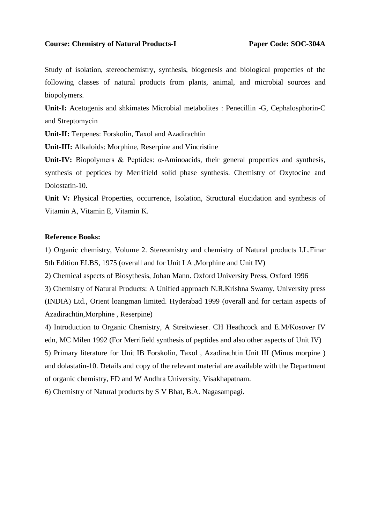#### Course: Chemistry of Natural Products-I Paper Code: SOC-304A

Study of isolation, stereochemistry, synthesis, biogenesis and biological properties of the following classes of natural products from plants, animal, and microbial sources and biopolymers.

**Unit-I:** Acetogenis and shkimates Microbial metabolites : Penecillin -G, Cephalosphorin-C and Streptomycin

**Unit-II:** Terpenes: Forskolin, Taxol and Azadirachtin

**Unit-III:** Alkaloids: Morphine, Reserpine and Vincristine

**Unit-IV:** Biopolymers & Peptides: α-Aminoacids, their general properties and synthesis, synthesis of peptides by Merrifield solid phase synthesis. Chemistry of Oxytocine and Dolostatin-10.

**Unit V:** Physical Properties, occurrence, Isolation, Structural elucidation and synthesis of Vitamin A, Vitamin E, Vitamin K.

#### **Reference Books:**

1) Organic chemistry, Volume 2. Stereomistry and chemistry of Natural products I.L.Finar 5th Edition ELBS, 1975 (overall and for Unit I A ,Morphine and Unit IV)

2) Chemical aspects of Biosythesis, Johan Mann. Oxford University Press, Oxford 1996

3) Chemistry of Natural Products: A Unified approach N.R.Krishna Swamy, University press (INDIA) Ltd., Orient loangman limited. Hyderabad 1999 (overall and for certain aspects of Azadirachtin,Morphine , Reserpine)

4) Introduction to Organic Chemistry, A Streitwieser. CH Heathcock and E.M/Kosover IV edn, MC Milen 1992 (For Merrifield synthesis of peptides and also other aspects of Unit IV) 5) Primary literature for Unit IB Forskolin, Taxol , Azadirachtin Unit III (Minus morpine ) and dolastatin-10. Details and copy of the relevant material are available with the Department of organic chemistry, FD and W Andhra University, Visakhapatnam.

6) Chemistry of Natural products by S V Bhat, B.A. Nagasampagi.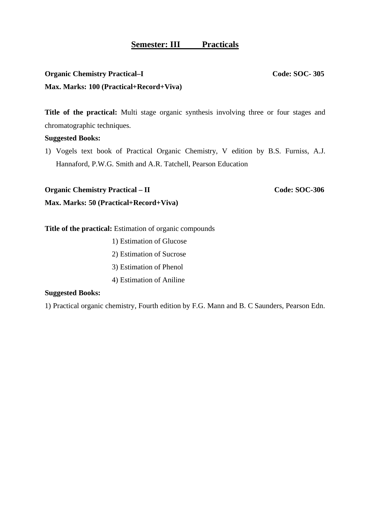# **Semester: III Practicals**

# **Organic Chemistry Practical–I Code: SOC-** 305 **Max. Marks: 100 (Practical+Record+Viva)**

**Title of the practical:** Multi stage organic synthesis involving three or four stages and chromatographic techniques.

#### **Suggested Books:**

1) Vogels text book of Practical Organic Chemistry, V edition by B.S. Furniss, A.J. Hannaford, P.W.G. Smith and A.R. Tatchell, Pearson Education

**Organic Chemistry Practical – II** Code: SOC-306

**Max. Marks: 50 (Practical+Record+Viva)**

**Title of the practical:** Estimation of organic compounds

- 1) Estimation of Glucose
- 2) Estimation of Sucrose
- 3) Estimation of Phenol
- 4) Estimation of Aniline

#### **Suggested Books:**

1) Practical organic chemistry, Fourth edition by F.G. Mann and B. C Saunders, Pearson Edn.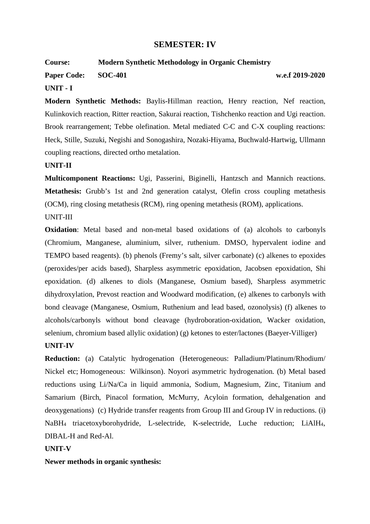# **SEMESTER: IV**

#### **Course: Modern Synthetic Methodology in Organic Chemistry**

**Paper Code:** SOC-401 w.e.f 2019-2020

#### **UNIT - I**

**Modern Synthetic Methods:** Baylis-Hillman reaction, Henry reaction, Nef reaction, Kulinkovich reaction, Ritter reaction, Sakurai reaction, Tishchenko reaction and Ugi reaction. Brook rearrangement; Tebbe olefination. Metal mediated C-C and C-X coupling reactions: Heck, Stille, Suzuki, Negishi and Sonogashira, Nozaki-Hiyama, Buchwald-Hartwig, Ullmann coupling reactions, directed ortho metalation.

#### **UNIT-II**

**Multicomponent Reactions:** Ugi, Passerini, Biginelli, Hantzsch and Mannich reactions. **Metathesis:** Grubb's 1st and 2nd generation catalyst, Olefin cross coupling metathesis (OCM), ring closing metathesis (RCM), ring opening metathesis (ROM), applications. UNIT-III

**Oxidation**: Metal based and non-metal based oxidations of (a) alcohols to carbonyls (Chromium, Manganese, aluminium, silver, ruthenium. DMSO, hypervalent iodine and TEMPO based reagents). (b) phenols (Fremy's salt, silver carbonate) (c) alkenes to epoxides (peroxides/per acids based), Sharpless asymmetric epoxidation, Jacobsen epoxidation, Shi epoxidation. (d) alkenes to diols (Manganese, Osmium based), Sharpless asymmetric dihydroxylation, Prevost reaction and Woodward modification, (e) alkenes to carbonyls with bond cleavage (Manganese, Osmium, Ruthenium and lead based, ozonolysis) (f) alkenes to alcohols/carbonyls without bond cleavage (hydroboration-oxidation, Wacker oxidation, selenium, chromium based allylic oxidation) (g) ketones to ester/lactones (Baeyer-Villiger)

#### **UNIT-IV**

**Reduction:** (a) Catalytic hydrogenation (Heterogeneous: Palladium/Platinum/Rhodium/ Nickel etc; Homogeneous: Wilkinson). Noyori asymmetric hydrogenation. (b) Metal based reductions using Li/Na/Ca in liquid ammonia, Sodium, Magnesium, Zinc, Titanium and Samarium (Birch, Pinacol formation, McMurry, Acyloin formation, dehalgenation and deoxygenations) (c) Hydride transfer reagents from Group III and Group IV in reductions. (i) NaBH4 triacetoxyborohydride, L-selectride, K-selectride, Luche reduction; LiAlH4, DIBAL-H and Red-Al.

#### **UNIT-V**

**Newer methods in organic synthesis:**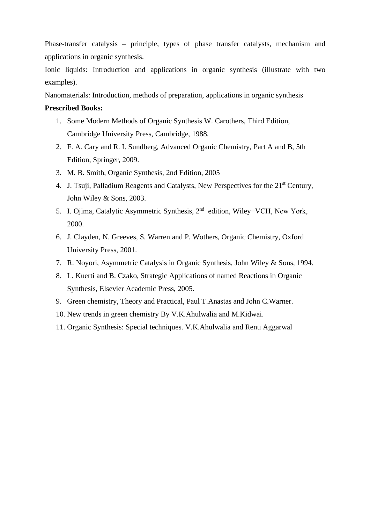Phase-transfer catalysis – principle, types of phase transfer catalysts, mechanism and applications in organic synthesis.

Ionic liquids: Introduction and applications in organic synthesis (illustrate with two examples).

Nanomaterials: Introduction, methods of preparation, applications in organic synthesis

#### **Prescribed Books:**

- 1. Some Modern Methods of Organic Synthesis W. Carothers, Third Edition, Cambridge University Press, Cambridge, 1988.
- 2. F. A. Cary and R. I. Sundberg, Advanced Organic Chemistry, Part A and B, 5th Edition, Springer, 2009.
- 3. M. B. Smith, Organic Synthesis, 2nd Edition, 2005
- 4. J. Tsuji, Palladium Reagents and Catalysts, New Perspectives for the 21<sup>st</sup> Century, John Wiley & Sons, 2003.
- 5. I. Ojima, Catalytic Asymmetric Synthesis, 2nd edition, Wiley−VCH, New York, 2000.
- 6. J. Clayden, N. Greeves, S. Warren and P. Wothers, Organic Chemistry, Oxford University Press, 2001.
- 7. R. Noyori, Asymmetric Catalysis in Organic Synthesis, John Wiley & Sons, 1994.
- 8. L. Kuerti and B. Czako, Strategic Applications of named Reactions in Organic Synthesis, Elsevier Academic Press, 2005.
- 9. Green chemistry, Theory and Practical, Paul T.Anastas and John C.Warner.
- 10. New trends in green chemistry By V.K.Ahulwalia and M.Kidwai.
- 11. Organic Synthesis: Special techniques. V.K.Ahulwalia and Renu Aggarwal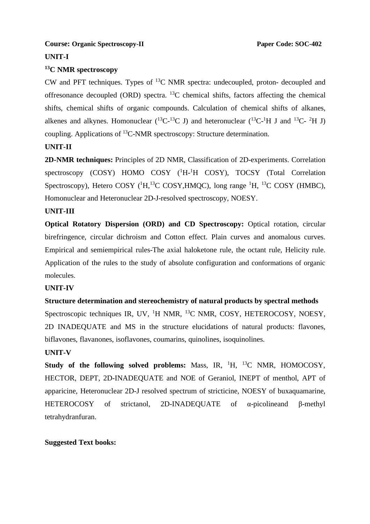### **Course: Organic Spectroscopy-II** Paper Code: SOC-402

# **UNIT-I**

#### **<sup>13</sup>C NMR spectroscopy**

CW and PFT techniques. Types of  ${}^{13}$ C NMR spectra: undecoupled, proton- decoupled and offresonance decoupled (ORD) spectra.  $^{13}$ C chemical shifts, factors affecting the chemical shifts, chemical shifts of organic compounds. Calculation of chemical shifts of alkanes, alkenes and alkynes. Homonuclear  $(^{13}C^{-13}C)$  and heteronuclear  $(^{13}C^{-1}H$  J and  $^{13}C^{-2}H$  J) coupling. Applications of <sup>13</sup>C-NMR spectroscopy: Structure determination.

# **UNIT-II**

**2D-NMR techniques:** Principles of 2D NMR, Classification of 2D-experiments. Correlation spectroscopy (COSY) HOMO COSY (<sup>1</sup>H-<sup>1</sup>H COSY), TOCSY (Total Correlation Spectroscopy), Hetero COSY ( ${}^{1}H, {}^{13}C$  COSY, HMOC), long range  ${}^{1}H, {}^{13}C$  COSY (HMBC), Homonuclear and Heteronuclear 2D-J-resolved spectroscopy, NOESY.

#### **UNIT-III**

**Optical Rotatory Dispersion (ORD) and CD Spectroscopy:** Optical rotation, circular birefringence, circular dichroism and Cotton effect. Plain curves and anomalous curves. Empirical and semiempirical rules-The axial haloketone rule, the octant rule, Helicity rule. Application of the rules to the study of absolute configuration and conformations of organic molecules.

#### **UNIT-IV**

#### **Structure determination and stereochemistry of natural products by spectral methods**

Spectroscopic techniques IR, UV, <sup>1</sup>H NMR, <sup>13</sup>C NMR, COSY, HETEROCOSY, NOESY, 2D INADEQUATE and MS in the structure elucidations of natural products: flavones, biflavones, flavanones, isoflavones, coumarins, quinolines, isoquinolines.

#### **UNIT-V**

**Study of the following solved problems:** Mass, IR, <sup>1</sup>H, <sup>13</sup>C NMR, HOMOCOSY, HECTOR, DEPT, 2D-INADEQUATE and NOE of Geraniol, INEPT of menthol, APT of apparicine, Heteronuclear 2D-J resolved spectrum of stricticine, NOESY of buxaquamarine, HETEROCOSY of strictanol, 2D-INADEQUATE of α-picolineand β-methyl tetrahydranfuran.

#### **Suggested Text books:**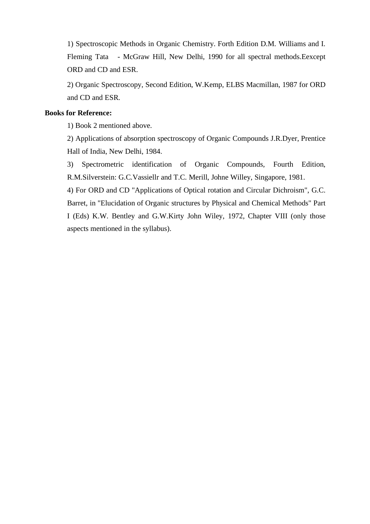1) Spectroscopic Methods in Organic Chemistry. Forth Edition D.M. Williams and I. Fleming Tata - McGraw Hill, New Delhi, 1990 for all spectral methods.Eexcept ORD and CD and ESR.

2) Organic Spectroscopy, Second Edition, W.Kemp, ELBS Macmillan, 1987 for ORD and CD and ESR.

### **Books for Reference:**

1) Book 2 mentioned above.

2) Applications of absorption spectroscopy of Organic Compounds J.R.Dyer, Prentice Hall of India, New Delhi, 1984.

3) Spectrometric identification of Organic Compounds, Fourth Edition, R.M.Silverstein: G.C.Vassiellr and T.C. Merill, Johne Willey, Singapore, 1981.

4) For ORD and CD "Applications of Optical rotation and Circular Dichroism", G.C. Barret, in "Elucidation of Organic structures by Physical and Chemical Methods" Part I (Eds) K.W. Bentley and G.W.Kirty John Wiley, 1972, Chapter VIII (only those aspects mentioned in the syllabus).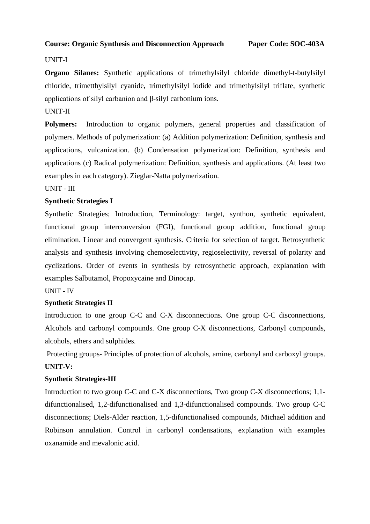## **Course: Organic Synthesis and Disconnection Approach Paper Code: SOC-403A**

# UNIT-I

**Organo Silanes:** Synthetic applications of trimethylsilyl chloride dimethyl-t-butylsilyl chloride, trimetthylsilyl cyanide, trimethylsilyl iodide and trimethylsilyl triflate, synthetic applications of silyl carbanion and β-silyl carbonium ions.

# UNIT-II

Polymers: Introduction to organic polymers, general properties and classification of polymers. Methods of polymerization: (a) Addition polymerization: Definition, synthesis and applications, vulcanization. (b) Condensation polymerization: Definition, synthesis and applications (c) Radical polymerization: Definition, synthesis and applications. (At least two examples in each category). Zieglar-Natta polymerization.

# UNIT - III

# **Synthetic Strategies I**

Synthetic Strategies; Introduction, Terminology: target, synthon, synthetic equivalent, functional group interconversion (FGI), functional group addition, functional group elimination. Linear and convergent synthesis. Criteria for selection of target. Retrosynthetic analysis and synthesis involving chemoselectivity, regioselectivity, reversal of polarity and cyclizations. Order of events in synthesis by retrosynthetic approach, explanation with examples Salbutamol, Propoxycaine and Dinocap.

#### UNIT - IV

#### **Synthetic Strategies II**

Introduction to one group C-C and C-X disconnections. One group C-C disconnections, Alcohols and carbonyl compounds. One group C-X disconnections, Carbonyl compounds, alcohols, ethers and sulphides.

Protecting groups- Principles of protection of alcohols, amine, carbonyl and carboxyl groups. **UNIT-V:**

#### **Synthetic Strategies-III**

Introduction to two group C-C and C-X disconnections, Two group C-X disconnections; 1,1 difunctionalised, 1,2-difunctionalised and 1,3-difunctionalised compounds. Two group C-C disconnections; Diels-Alder reaction, 1,5-difunctionalised compounds, Michael addition and Robinson annulation. Control in carbonyl condensations, explanation with examples oxanamide and mevalonic acid.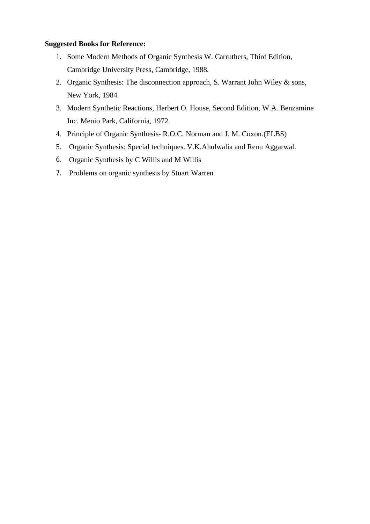# **Suggested Books for Reference:**

- 1. Some Modern Methods of Organic Synthesis W. Carruthers, Third Edition, Cambridge University Press, Cambridge, 1988.
- 2. Organic Synthesis: The disconnection approach, S. Warrant John Wiley & sons, New York, 1984.
- 3. Modern Synthetic Reactions, Herbert O. House, Second Edition, W.A. Benzamine Inc. Menio Park, California, 1972.
- 4. Principle of Organic Synthesis- R.O.C. Norman and J. M. Coxon.(ELBS)
- 5. Organic Synthesis: Special techniques. V.K.Ahulwalia and Renu Aggarwal.
- 6. Organic Synthesis by C Willis and M Willis
- 7. Problems on organic synthesis by Stuart Warren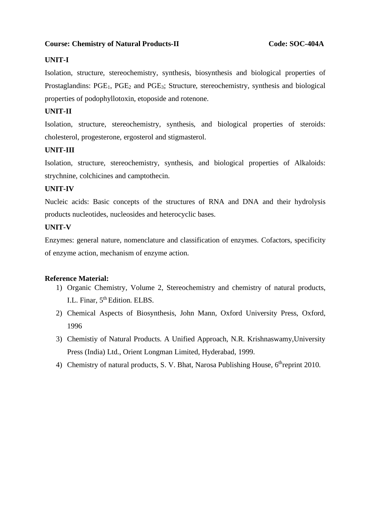# Course: Chemistry of Natural Products-II Code: SOC-404A

# **UNIT-I**

Isolation, structure, stereochemistry, synthesis, biosynthesis and biological properties of Prostaglandins: PGE<sub>1</sub>, PGE<sub>2</sub> and PGE<sub>3</sub>; Structure, stereochemistry, synthesis and biological properties of podophyllotoxin, etoposide and rotenone.

# **UNIT-II**

Isolation, structure, stereochemistry, synthesis, and biological properties of steroids: cholesterol, progesterone, ergosterol and stigmasterol.

# **UNIT-III**

Isolation, structure, stereochemistry, synthesis, and biological properties of Alkaloids: strychnine, colchicines and camptothecin.

# **UNIT-IV**

Nucleic acids: Basic concepts of the structures of RNA and DNA and their hydrolysis products nucleotides, nucleosides and heterocyclic bases.

# **UNIT-V**

Enzymes: general nature, nomenclature and classification of enzymes. Cofactors, specificity of enzyme action, mechanism of enzyme action.

#### **Reference Material:**

- 1) Organic Chemistry, Volume 2, Stereochemistry and chemistry of natural products, I.L. Finar,  $5<sup>th</sup>$  Edition. ELBS.
- 2) Chemical Aspects of Biosynthesis, John Mann, Oxford University Press, Oxford, 1996
- 3) Chemistiy of Natural Products. A Unified Approach, N.R. Krishnaswamy,University Press (India) Ltd., Orient Longman Limited, Hyderabad, 1999.
- 4) Chemistry of natural products, S. V. Bhat, Narosa Publishing House,  $6<sup>th</sup>$ reprint 2010.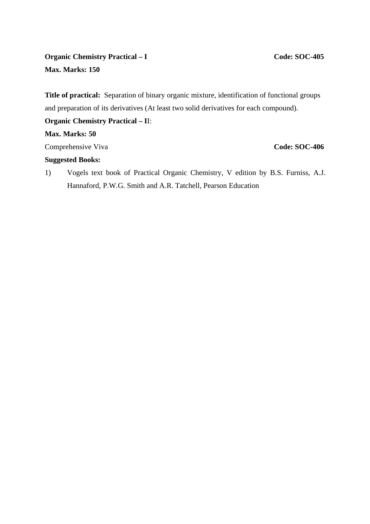# **Organic Chemistry Practical – I** Code: SOC-405 **Max. Marks: 150**

**Title of practical:** Separation of binary organic mixture, identification of functional groups and preparation of its derivatives (At least two solid derivatives for each compound).

# **Organic Chemistry Practical – I**I:

# **Max. Marks: 50**

**Comprehensive Viva Code: SOC-406** 

# **Suggested Books:**

1) Vogels text book of Practical Organic Chemistry, V edition by B.S. Furniss, A.J. Hannaford, P.W.G. Smith and A.R. Tatchell, Pearson Education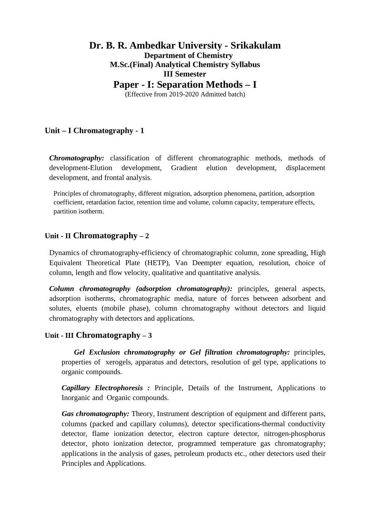# **Dr. B. R. Ambedkar University - Srikakulam Department of Chemistry M.Sc.(Final) Analytical Chemistry Syllabus III Semester Paper - I: Separation Methods – I**

(Effective from 2019-2020 Admitted batch)

# **Unit – I Chromatography - 1**

*Chromatography:* classification of different chromatographic methods, methods of development-Elution development, Gradient elution development, displacement development, and frontal analysis.

Principles of chromatography, different migration, adsorption phenomena, partition, adsorption coefficient, retardation factor, retention time and volume, column capacity, temperature effects, partition isotherm.

# **Unit - II Chromatography – 2**

Dynamics of chromatography-efficiency of chromatographic column, zone spreading, High Equivalent Theoretical Plate (HETP), Van Deempter equation, resolution, choice of column, length and flow velocity, qualitative and quantitative analysis.

 *Column chromatography (adsorption chromatography):* principles, general aspects, adsorption isotherms, chromatographic media, nature of forces between adsorbent and solutes, eluents (mobile phase), column chromatography without detectors and liquid chromatography with detectors and applications.

# **Unit - III Chromatography – 3**

 *Gel Exclusion chromatography or Gel filtration chromatography:* principles, properties of xerogels, apparatus and detectors, resolution of gel type, applications to organic compounds.

 *Capillary Electrophoresis :* Principle, Details of the Instrument, Applications to Inorganic and Organic compounds.

 *Gas chromatography:* Theory, Instrument description of equipment and different parts, columns (packed and capillary columns), detector specifications-thermal conductivity detector, flame ionization detector, electron capture detector, nitrogen-phosphorus detector, photo ionization detector, programmed temperature gas chromatography; applications in the analysis of gases, petroleum products etc., other detectors used their Principles and Applications.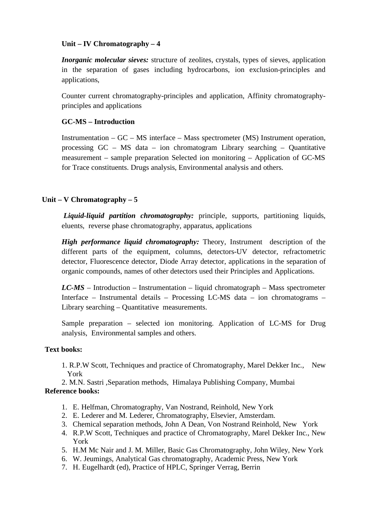# **Unit – IV Chromatography – 4**

*Inorganic molecular sieves:* structure of zeolites, crystals, types of sieves, application in the separation of gases including hydrocarbons, ion exclusion-principles and applications,

 Counter current chromatography-principles and application, Affinity chromatographyprinciples and applications

# **GC-MS – Introduction**

Instrumentation – GC – MS interface – Mass spectrometer (MS) Instrument operation, processing GC – MS data – ion chromatogram Library searching – Quantitative measurement – sample preparation Selected ion monitoring – Application of GC-MS for Trace constituents. Drugs analysis, Environmental analysis and others.

# **Unit – V Chromatography – 5**

*Liquid-liquid partition chromatography:* principle, supports, partitioning liquids, eluents, reverse phase chromatography, apparatus, applications

*High performance liquid chromatography:* Theory, Instrument description of the different parts of the equipment, columns, detectors-UV detector, refractometric detector, Fluorescence detector, Diode Array detector, applications in the separation of organic compounds, names of other detectors used their Principles and Applications.

 *LC-MS* – Introduction – Instrumentation – liquid chromatograph – Mass spectrometer Interface – Instrumental details – Processing LC-MS data – ion chromatograms – Library searching – Quantitative measurements.

 Sample preparation – selected ion monitoring. Application of LC-MS for Drug analysis, Environmental samples and others.

# **Text books:**

1. R.P.W Scott, Techniques and practice of Chromatography, Marel Dekker Inc., New York

2. M.N. Sastri ,Separation methods, Himalaya Publishing Company, Mumbai **Reference books:**

- 1. E. Helfman, Chromatography, Van Nostrand, Reinhold, New York
- 2. E. Lederer and M. Lederer, Chromatography, Elsevier, Amsterdam.
- 3. Chemical separation methods, John A Dean, Von Nostrand Reinhold, New York
- 4. R.P.W Scott, Techniques and practice of Chromatography, Marel Dekker Inc., New York
- 5. H.M Mc Nair and J. M. Miller, Basic Gas Chromatography, John Wiley, New York
- 6. W. Jeumings, Analytical Gas chromatography, Academic Press, New York
- 7. H. Eugelhardt (ed), Practice of HPLC, Springer Verrag, Berrin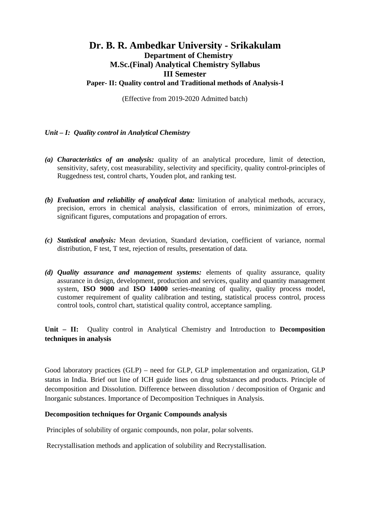# **Dr. B. R. Ambedkar University - Srikakulam Department of Chemistry M.Sc.(Final) Analytical Chemistry Syllabus III Semester Paper- II: Quality control and Traditional methods of Analysis-I**

(Effective from 2019-2020 Admitted batch)

# *Unit – I: Quality control in Analytical Chemistry*

- *(a) Characteristics of an analysis:* quality of an analytical procedure, limit of detection, sensitivity, safety, cost measurability, selectivity and specificity, quality control-principles of Ruggedness test, control charts, Youden plot, and ranking test.
- *(b) Evaluation and reliability of analytical data:* limitation of analytical methods, accuracy, precision, errors in chemical analysis, classification of errors, minimization of errors, significant figures, computations and propagation of errors.
- *(c) Statistical analysis:* Mean deviation, Standard deviation, coefficient of variance, normal distribution, F test, T test, rejection of results, presentation of data.
- *(d) Quality assurance and management systems:* elements of quality assurance, quality assurance in design, development, production and services, quality and quantity management system, **ISO 9000** and **ISO 14000** series-meaning of quality, quality process model, customer requirement of quality calibration and testing, statistical process control, process control tools, control chart, statistical quality control, acceptance sampling.

**Unit – II:** Quality control in Analytical Chemistry and Introduction to **Decomposition techniques in analysis**

Good laboratory practices (GLP) – need for GLP, GLP implementation and organization, GLP status in India. Brief out line of ICH guide lines on drug substances and products. Principle of decomposition and Dissolution. Difference between dissolution / decomposition of Organic and Inorganic substances. Importance of Decomposition Techniques in Analysis.

#### **Decomposition techniques for Organic Compounds analysis**

Principles of solubility of organic compounds, non polar, polar solvents.

Recrystallisation methods and application of solubility and Recrystallisation.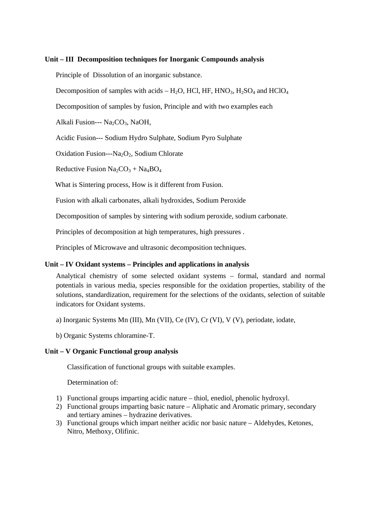#### **Unit – III Decomposition techniques for Inorganic Compounds analysis**

Principle of Dissolution of an inorganic substance.

Decomposition of samples with acids –  $H_2O$ , HCl, HF, HNO<sub>3</sub>,  $H_2SO_4$  and HClO<sub>4</sub>

Decomposition of samples by fusion, Principle and with two examples each

Alkali Fusion---  $Na<sub>2</sub>CO<sub>3</sub>$ , NaOH,

Acidic Fusion--- Sodium Hydro Sulphate, Sodium Pyro Sulphate

Oxidation Fusion--- $Na<sub>2</sub>O<sub>2</sub>$ , Sodium Chlorate

Reductive Fusion  $Na_2CO_3 + Na_4BO_4$ 

What is Sintering process, How is it different from Fusion.

Fusion with alkali carbonates, alkali hydroxides, Sodium Peroxide

Decomposition of samples by sintering with sodium peroxide, sodium carbonate.

Principles of decomposition at high temperatures, high pressures .

Principles of Microwave and ultrasonic decomposition techniques.

#### **Unit – IV Oxidant systems – Principles and applications in analysis**

Analytical chemistry of some selected oxidant systems – formal, standard and normal potentials in various media, species responsible for the oxidation properties, stability of the solutions, standardization, requirement for the selections of the oxidants, selection of suitable indicators for Oxidant systems.

a) Inorganic Systems Mn (III), Mn (VII), Ce (IV), Cr (VI), V (V), periodate, iodate,

b) Organic Systems chloramine-T.

#### **Unit – V Organic Functional group analysis**

Classification of functional groups with suitable examples.

Determination of:

- 1) Functional groups imparting acidic nature thiol, enediol, phenolic hydroxyl.
- 2) Functional groups imparting basic nature Aliphatic and Aromatic primary, secondary and tertiary amines – hydrazine derivatives.
- 3) Functional groups which impart neither acidic nor basic nature Aldehydes, Ketones, Nitro, Methoxy, Olifinic.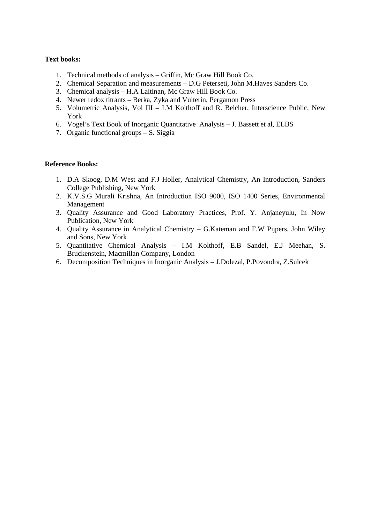#### **Text books:**

- 1. Technical methods of analysis Griffin, Mc Graw Hill Book Co.
- 2. Chemical Separation and measurements D.G Peterseti, John M.Haves Sanders Co.
- 3. Chemical analysis H.A Laitinan, Mc Graw Hill Book Co.
- 4. Newer redox titrants Berka, Zyka and Vulterin, Pergamon Press
- 5. Volumetric Analysis, Vol III I.M Kolthoff and R. Belcher, Interscience Public, New York
- 6. Vogel's Text Book of Inorganic Quantitative Analysis J. Bassett et al, ELBS
- 7. Organic functional groups S. Siggia

#### **Reference Books:**

- 1. D.A Skoog, D.M West and F.J Holler, Analytical Chemistry, An Introduction, Sanders College Publishing, New York
- 2. K.V.S.G Murali Krishna, An Introduction ISO 9000, ISO 1400 Series, Environmental Management
- 3. Quality Assurance and Good Laboratory Practices, Prof. Y. Anjaneyulu, In Now Publication, New York
- 4. Quality Assurance in Analytical Chemistry G.Kateman and F.W Pijpers, John Wiley and Sons, New York
- 5. Quantitative Chemical Analysis I.M Kolthoff, E.B Sandel, E.J Meehan, S. Bruckenstein, Macmillan Company, London
- 6. Decomposition Techniques in Inorganic Analysis J.Dolezal, P.Povondra, Z.Sulcek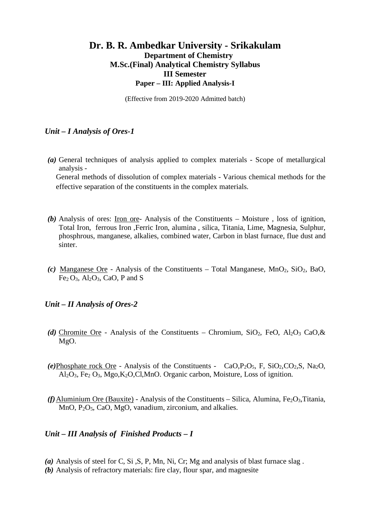# **Dr. B. R. Ambedkar University - Srikakulam Department of Chemistry M.Sc.(Final) Analytical Chemistry Syllabus III Semester Paper – III: Applied Analysis-I**

(Effective from 2019-2020 Admitted batch)

# *Unit – I Analysis of Ores-1*

*(a)* General techniques of analysis applied to complex materials - Scope of metallurgical analysis -

General methods of dissolution of complex materials - Various chemical methods for the effective separation of the constituents in the complex materials.

- *(b)* Analysis of ores: Iron ore- Analysis of the Constituents Moisture , loss of ignition, Total Iron, ferrous Iron ,Ferric Iron, alumina , silica, Titania, Lime, Magnesia, Sulphur, phosphrous, manganese, alkalies, combined water, Carbon in blast furnace, flue dust and sinter.
- *(c)* Manganese Ore Analysis of the Constituents Total Manganese, MnO<sub>2</sub>, SiO<sub>2</sub>, BaO,  $Fe<sub>2</sub>O<sub>3</sub>$ , Al<sub>2</sub>O<sub>3</sub>, CaO, P and S

# *Unit – II Analysis of Ores-2*

- (d) Chromite Ore Analysis of the Constituents Chromium,  $SiO_2$ , FeO,  $Al_2O_3$  CaO, & MgO.
- (e)Phosphate rock Ore Analysis of the Constituents  $CaO.P<sub>2</sub>O<sub>5</sub>$ , F, SiO<sub>2</sub>,CO<sub>2</sub>,S, Na<sub>2</sub>O, Al2O3, Fe<sup>2</sup> O3, Mgo,K2O,Cl,MnO. Organic carbon, Moisture, Loss of ignition.
- *(f)* Aluminium Ore (Bauxite) Analysis of the Constituents Silica, Alumina, Fe<sub>2</sub>O<sub>3</sub>, Titania, MnO, P2O5, CaO, MgO, vanadium, zirconium, and alkalies.

# *Unit – III Analysis of Finished Products – I*

- *(a)* Analysis of steel for C, Si ,S, P, Mn, Ni, Cr; Mg and analysis of blast furnace slag .
- *(b)* Analysis of refractory materials: fire clay, flour spar, and magnesite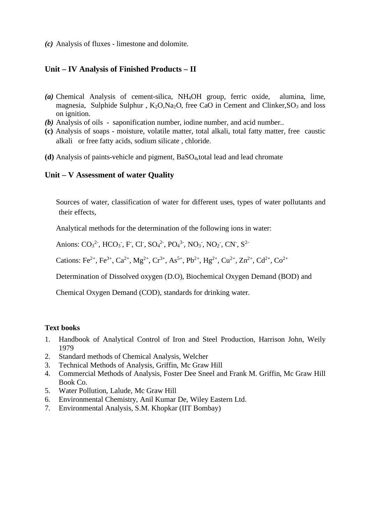*(c)* Analysis of fluxes - limestone and dolomite.

#### **Unit – IV Analysis of Finished Products – II**

- *(a)* Chemical Analysis of cement-silica, NH4OH group, ferric oxide, alumina, lime, magnesia, Sulphide Sulphur,  $K_2O$ ,  $Na_2O$ , free CaO in Cement and Clinker,  $SO_3$  and loss on ignition.
- *(b)* Analysis of oils saponification number, iodine number, and acid number..
- **(c)** Analysis of soaps moisture, volatile matter, total alkali, total fatty matter, free caustic alkali or free fatty acids, sodium silicate , chloride.
- **(d)** Analysis of paints-vehicle and pigment, BaSO4,total lead and lead chromate

#### **Unit – V Assessment of water Quality**

Sources of water, classification of water for different uses, types of water pollutants and their effects,

Analytical methods for the determination of the following ions in water:

Anions:  $CO_3^2$ , HCO<sub>3</sub>, F, Cl, SO<sub>4</sub><sup>2</sup>, PO<sub>4</sub><sup>3</sup>, NO<sub>3</sub>, NO<sub>2</sub>, CN, S<sup>2</sup>

Cations: Fe<sup>2+</sup>, Fe<sup>3+</sup>, Ca<sup>2+</sup>, Mg<sup>2+</sup>, Cr<sup>3+</sup>, As<sup>5+</sup>, Pb<sup>2+</sup>, Hg<sup>2+</sup>, Cu<sup>2+</sup>, Zn<sup>2+</sup>, Cd<sup>2+</sup>, Co<sup>2+</sup>

Determination of Dissolved oxygen (D.O), Biochemical Oxygen Demand (BOD) and

Chemical Oxygen Demand (COD), standards for drinking water.

#### **Text books**

- 1. Handbook of Analytical Control of Iron and Steel Production, Harrison John, Weily 1979
- 2. Standard methods of Chemical Analysis, Welcher
- 3. Technical Methods of Analysis, Griffin, Mc Graw Hill
- 4. Commercial Methods of Analysis, Foster Dee Sneel and Frank M. Griffin, Mc Graw Hill Book Co.
- 5. Water Pollution, Lalude, Mc Graw Hill
- 6. Environmental Chemistry, Anil Kumar De, Wiley Eastern Ltd.
- 7. Environmental Analysis, S.M. Khopkar (IIT Bombay)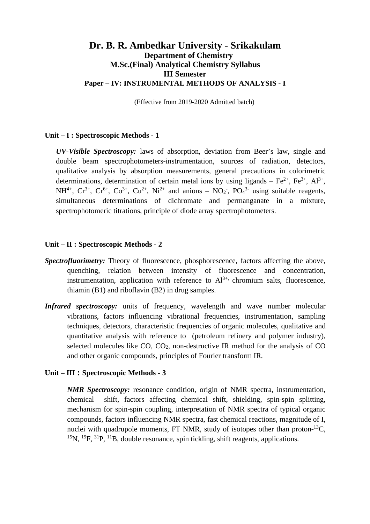# **Dr. B. R. Ambedkar University - Srikakulam Department of Chemistry M.Sc.(Final) Analytical Chemistry Syllabus III Semester Paper – IV: INSTRUMENTAL METHODS OF ANALYSIS - I**

(Effective from 2019-2020 Admitted batch)

### **Unit – I : Spectroscopic Methods - 1**

*UV-Visible Spectroscopy:* laws of absorption, deviation from Beer's law, single and double beam spectrophotometers-instrumentation, sources of radiation, detectors, qualitative analysis by absorption measurements, general precautions in colorimetric determinations, determination of certain metal ions by using ligands –  $Fe^{2+}$ ,  $Fe^{3+}$ ,  $Al^{3+}$ ,  $NH^{4+}$ ,  $Cr^{3+}$ ,  $Cr^{6+}$ ,  $Co^{3+}$ ,  $Cu^{2+}$ ,  $Ni^{2+}$  and anions –  $NO_2$ ,  $PO_4^{3-}$  using suitable reagents, simultaneous determinations of dichromate and permanganate in a mixture, spectrophotomeric titrations, principle of diode array spectrophotometers.

#### **Unit – II : Spectroscopic Methods - 2**

- **Spectrofluorimetry:** Theory of fluorescence, phosphorescence, factors affecting the above, quenching, relation between intensity of fluorescence and concentration, instrumentation, application with reference to  $Al^{3+}$ , chromium salts, fluorescence, thiamin (B1) and riboflavin (B2) in drug samples.
- *Infrared spectroscopy:* units of frequency, wavelength and wave number molecular vibrations, factors influencing vibrational frequencies, instrumentation, sampling techniques, detectors, characteristic frequencies of organic molecules, qualitative and quantitative analysis with reference to (petroleum refinery and polymer industry), selected molecules like  $CO$ ,  $CO<sub>2</sub>$ , non-destructive IR method for the analysis of  $CO$ and other organic compounds, principles of Fourier transform IR.

#### **Unit – III : Spectroscopic Methods - 3**

*NMR Spectroscopy:* resonance condition, origin of NMR spectra, instrumentation, chemical shift, factors affecting chemical shift, shielding, spin-spin splitting, mechanism for spin-spin coupling, interpretation of NMR spectra of typical organic compounds, factors influencing NMR spectra, fast chemical reactions, magnitude of I, nuclei with quadrupole moments, FT NMR, study of isotopes other than proton- $^{13}C$ , <sup>15</sup>N, <sup>19</sup>F, <sup>31</sup>P, <sup>11</sup>B, double resonance, spin tickling, shift reagents, applications.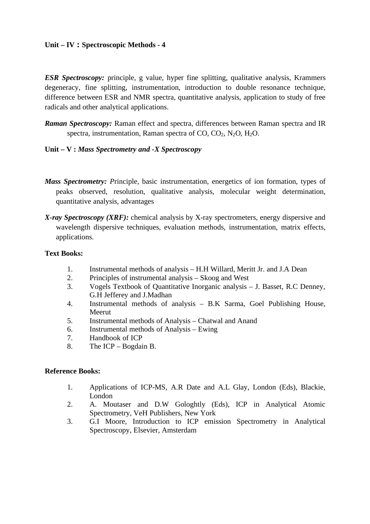# **Unit – IV : Spectroscopic Methods - 4**

*ESR Spectroscopy:* principle, g value, hyper fine splitting, qualitative analysis, Krammers degeneracy, fine splitting, instrumentation, introduction to double resonance technique, difference between ESR and NMR spectra, quantitative analysis, application to study of free radicals and other analytical applications.

*Raman Spectroscopy:* Raman effect and spectra, differences between Raman spectra and IR spectra, instrumentation, Raman spectra of CO, CO2, N2O, H2O.

# **Unit – V :** *Mass Spectrometry and -X Spectroscopy*

- *Mass Spectrometry: Principle, basic instrumentation, energetics of ion formation, types of* peaks observed, resolution, qualitative analysis, molecular weight determination, quantitative analysis, advantages
- *X-ray Spectroscopy (XRF):* chemical analysis by X-ray spectrometers, energy dispersive and wavelength dispersive techniques, evaluation methods, instrumentation, matrix effects, applications.

# **Text Books:**

- 1. Instrumental methods of analysis H.H Willard, Meritt Jr. and J.A Dean
- 2. Principles of instrumental analysis Skoog and West
- 3. Vogels Textbook of Quantitative Inorganic analysis J. Basset, R.C Denney, G.H Jefferey and J.Madhan
- 4. Instrumental methods of analysis B.K Sarma, Goel Publishing House, Meerut
- 5. Instrumental methods of Analysis Chatwal and Anand
- 6. Instrumental methods of Analysis Ewing
- 7. Handbook of ICP
- 8. The ICP Bogdain B.

# **Reference Books:**

- 1. Applications of ICP-MS, A.R Date and A.L Glay, London (Eds), Blackie, London
- 2. A. Moutaser and D.W Gologhtly (Eds), ICP in Analytical Atomic Spectrometry, VeH Publishers, New York
- 3. G.I Moore, Introduction to ICP emission Spectrometry in Analytical Spectroscopy, Elsevier, Amsterdam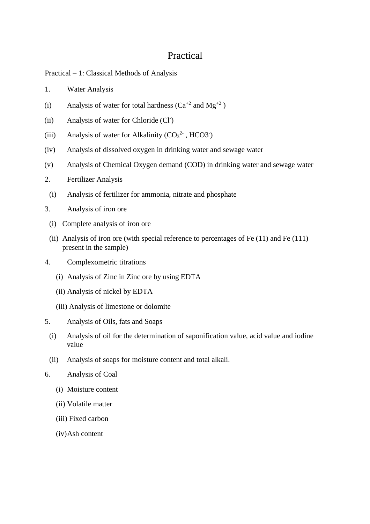# Practical

Practical – 1: Classical Methods of Analysis

- 1. Water Analysis
- (i) Analysis of water for total hardness  $(Ca^{+2}$  and  $Mg^{+2})$
- (ii) Analysis of water for Chloride (Cl- )
- (iii) Analysis of water for Alkalinity  $(CO<sub>3</sub><sup>2</sup>$ , HCO3<sup>-</sup>)
- (iv) Analysis of dissolved oxygen in drinking water and sewage water
- (v) Analysis of Chemical Oxygen demand (COD) in drinking water and sewage water
- 2. Fertilizer Analysis
- (i) Analysis of fertilizer for ammonia, nitrate and phosphate
- 3. Analysis of iron ore
	- (i) Complete analysis of iron ore
	- (ii) Analysis of iron ore (with special reference to percentages of Fe (11) and Fe (111) present in the sample)
- 4. Complexometric titrations
	- (i) Analysis of Zinc in Zinc ore by using EDTA
	- (ii) Analysis of nickel by EDTA
	- (iii) Analysis of limestone or dolomite
- 5. Analysis of Oils, fats and Soaps
	- (i) Analysis of oil for the determination of saponification value, acid value and iodine value
	- (ii) Analysis of soaps for moisture content and total alkali.
- 6. Analysis of Coal
	- (i) Moisture content
	- (ii) Volatile matter
	- (iii) Fixed carbon
	- (iv)Ash content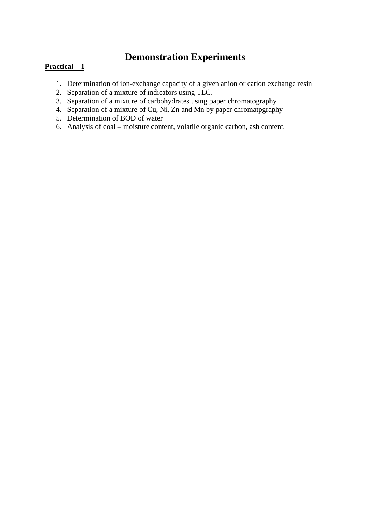# **Demonstration Experiments**

# **Practical – 1**

- 1. Determination of ion-exchange capacity of a given anion or cation exchange resin
- 2. Separation of a mixture of indicators using TLC.
- 3. Separation of a mixture of carbohydrates using paper chromatography
- 4. Separation of a mixture of Cu, Ni, Zn and Mn by paper chromatpgraphy
- 5. Determination of BOD of water
- 6. Analysis of coal moisture content, volatile organic carbon, ash content.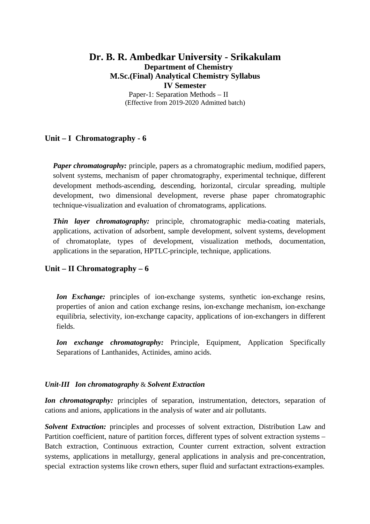# **Dr. B. R. Ambedkar University - Srikakulam Department of Chemistry M.Sc.(Final) Analytical Chemistry Syllabus IV Semester** Paper-1: Separation Methods – II

(Effective from 2019-2020 Admitted batch)

# **Unit – I Chromatography - 6**

*Paper chromatography:* principle, papers as a chromatographic medium, modified papers, solvent systems, mechanism of paper chromatography, experimental technique, different development methods-ascending, descending, horizontal, circular spreading, multiple development, two dimensional development, reverse phase paper chromatographic technique-visualization and evaluation of chromatograms, applications.

*Thin layer chromatography:* principle, chromatographic media-coating materials, applications, activation of adsorbent, sample development, solvent systems, development of chromatoplate, types of development, visualization methods, documentation, applications in the separation, HPTLC-principle, technique, applications.

# **Unit – II Chromatography – 6**

*Ion Exchange:* principles of ion-exchange systems, synthetic ion-exchange resins, properties of anion and cation exchange resins, ion-exchange mechanism, ion-exchange equilibria, selectivity, ion-exchange capacity, applications of ion-exchangers in different fields.

*Ion exchange chromatography:* Principle, Equipment, Application Specifically Separations of Lanthanides, Actinides, amino acids.

# *Unit-III Ion chromatography* & *Solvent Extraction*

*Ion chromatography:* principles of separation, instrumentation, detectors, separation of cations and anions, applications in the analysis of water and air pollutants.

**Solvent Extraction:** principles and processes of solvent extraction, Distribution Law and Partition coefficient, nature of partition forces, different types of solvent extraction systems – Batch extraction, Continuous extraction, Counter current extraction, solvent extraction systems, applications in metallurgy, general applications in analysis and pre-concentration, special extraction systems like crown ethers, super fluid and surfactant extractions-examples.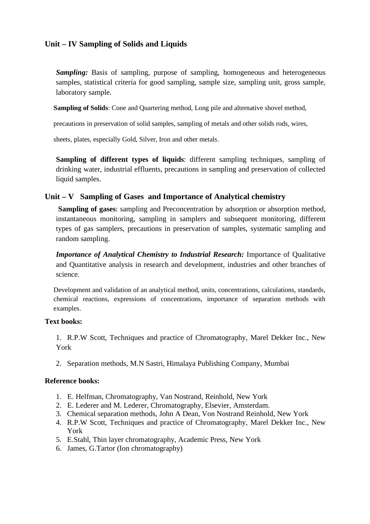# **Unit – IV Sampling of Solids and Liquids**

*Sampling:* Basis of sampling, purpose of sampling, homogeneous and heterogeneous samples, statistical criteria for good sampling, sample size, sampling unit, gross sample, laboratory sample.

**Sampling of Solids**: Cone and Quartering method, Long pile and alternative shovel method,

precautions in preservation of solid samples, sampling of metals and other solids rods, wires,

sheets, plates, especially Gold, Silver, Iron and other metals.

**Sampling of different types of liquids**: different sampling techniques, sampling of drinking water, industrial effluents, precautions in sampling and preservation of collected liquid samples.

# **Unit – V Sampling of Gases and Importance of Analytical chemistry**

**Sampling of gases**: sampling and Preconcentration by adsorption or absorption method, instantaneous monitoring, sampling in samplers and subsequent monitoring, different types of gas samplers, precautions in preservation of samples, systematic sampling and random sampling.

*Importance of Analytical Chemistry to Industrial Research:* Importance of Qualitative and Quantitative analysis in research and development, industries and other branches of science.

Development and validation of an analytical method, units, concentrations, calculations, standards, chemical reactions, expressions of concentrations, importance of separation methods with examples.

# **Text books:**

1. R.P.W Scott, Techniques and practice of Chromatography, Marel Dekker Inc., New York

2. Separation methods, M.N Sastri, Himalaya Publishing Company, Mumbai

# **Reference books:**

- 1. E. Helfman, Chromatography, Van Nostrand, Reinhold, New York
- 2. E. Lederer and M. Lederer, Chromatography, Elsevier, Amsterdam.
- 3. Chemical separation methods, John A Dean, Von Nostrand Reinhold, New York
- 4. R.P.W Scott, Techniques and practice of Chromatography, Marel Dekker Inc., New York
- 5. E.Stahl, Thin layer chromatography, Academic Press, New York
- 6. James, G.Tartor (Ion chromatography)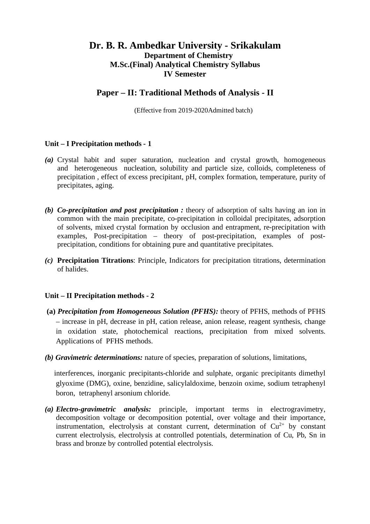# **Dr. B. R. Ambedkar University - Srikakulam Department of Chemistry M.Sc.(Final) Analytical Chemistry Syllabus IV Semester**

# **Paper – II: Traditional Methods of Analysis - II**

(Effective from 2019-2020Admitted batch)

# **Unit – I Precipitation methods - 1**

- *(a)* Crystal habit and super saturation, nucleation and crystal growth, homogeneous and heterogeneous nucleation, solubility and particle size, colloids, completeness of precipitation , effect of excess precipitant, pH, complex formation, temperature, purity of precipitates, aging.
- *(b) Co-precipitation and post precipitation :* theory of adsorption of salts having an ion in common with the main precipitate, co-precipitation in colloidal precipitates, adsorption of solvents, mixed crystal formation by occlusion and entrapment, re-precipitation with examples, Post-precipitation – theory of post-precipitation, examples of postprecipitation, conditions for obtaining pure and quantitative precipitates.
- *(c)* **Precipitation Titrations**: Principle, Indicators for precipitation titrations, determination of halides.

#### **Unit – II Precipitation methods - 2**

- **(a)** *Precipitation from Homogeneous Solution (PFHS):* theory of PFHS, methods of PFHS – increase in pH, decrease in pH, cation release, anion release, reagent synthesis, change in oxidation state, photochemical reactions, precipitation from mixed solvents. Applications of PFHS methods.
- *(b) Gravimetric determinations:* nature of species, preparation of solutions, limitations,

 interferences, inorganic precipitants-chloride and sulphate, organic precipitants dimethyl glyoxime (DMG), oxine, benzidine, salicylaldoxime, benzoin oxime, sodium tetraphenyl boron, tetraphenyl arsonium chloride.

*(a) Electro-gravimetric analysis:* principle, important terms in electrogravimetry, decomposition voltage or decomposition potential, over voltage and their importance, instrumentation, electrolysis at constant current, determination of  $Cu<sup>2+</sup>$  by constant current electrolysis, electrolysis at controlled potentials, determination of Cu, Pb, Sn in brass and bronze by controlled potential electrolysis.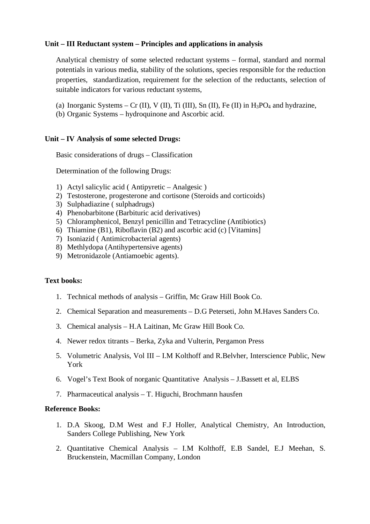# **Unit – III Reductant system – Principles and applications in analysis**

Analytical chemistry of some selected reductant systems – formal, standard and normal potentials in various media, stability of the solutions, species responsible for the reduction properties, standardization, requirement for the selection of the reductants, selection of suitable indicators for various reductant systems,

- (a) Inorganic Systems Cr (II), V (II), Ti (III), Sn (II), Fe (II) in  $H_3PO_4$  and hydrazine,
- (b) Organic Systems hydroquinone and Ascorbic acid.

#### **Unit – IV Analysis of some selected Drugs:**

Basic considerations of drugs – Classification

Determination of the following Drugs:

- 1) Actyl salicylic acid ( Antipyretic Analgesic )
- 2) Testosterone, progesterone and cortisone (Steroids and corticoids)
- 3) Sulphadiazine ( sulphadrugs)
- 4) Phenobarbitone (Barbituric acid derivatives)
- 5) Chloramphenicol, Benzyl penicillin and Tetracycline (Antibiotics)
- 6) Thiamine (B1), Riboflavin (B2) and ascorbic acid (c) [Vitamins]
- 7) Isoniazid ( Antimicrobacterial agents)
- 8) Methlydopa (Antihypertensive agents)
- 9) Metronidazole (Antiamoebic agents).

#### **Text books:**

- 1. Technical methods of analysis Griffin, Mc Graw Hill Book Co.
- 2. Chemical Separation and measurements D.G Peterseti, John M.Haves Sanders Co.
- 3. Chemical analysis H.A Laitinan, Mc Graw Hill Book Co.
- 4. Newer redox titrants Berka, Zyka and Vulterin, Pergamon Press
- 5. Volumetric Analysis, Vol III I.M Kolthoff and R.Belvher, Interscience Public, New York
- 6. Vogel's Text Book of norganic Quantitative Analysis J.Bassett et al, ELBS
- 7. Pharmaceutical analysis T. Higuchi, Brochmann hausfen

#### **Reference Books:**

- 1. D.A Skoog, D.M West and F.J Holler, Analytical Chemistry, An Introduction, Sanders College Publishing, New York
- 2. Quantitative Chemical Analysis I.M Kolthoff, E.B Sandel, E.J Meehan, S. Bruckenstein, Macmillan Company, London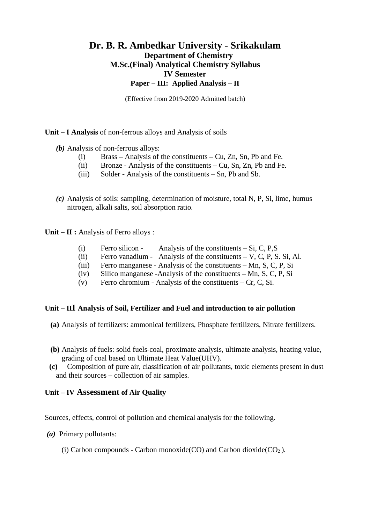# **Dr. B. R. Ambedkar University - Srikakulam Department of Chemistry M.Sc.(Final) Analytical Chemistry Syllabus IV Semester Paper – III: Applied Analysis – II**

(Effective from 2019-2020 Admitted batch)

**Unit – I Analysis** of non-ferrous alloys and Analysis of soils

- *(b)* Analysis of non-ferrous alloys:
	- (i) Brass Analysis of the constituents Cu, Zn, Sn, Pb and Fe.
	- (ii) Bronze Analysis of the constituents Cu, Sn, Zn, Pb and Fe.
	- (iii) Solder Analysis of the constituents Sn, Pb and Sb.
- *(c)* Analysis of soils: sampling, determination of moisture, total N, P, Si, lime, humus nitrogen, alkali salts, soil absorption ratio.

**Unit – II :** Analysis of Ferro alloys :

- (i) Ferro silicon Analysis of the constituents  $-Si$ , C, P, S
- (ii) Ferro vanadium Analysis of the constituents  $-V$ , C, P, S, Si, Al.
- (iii) Ferro manganese Analysis of the constituents Mn, S, C, P, Si
- (iv) Silico manganese -Analysis of the constituents Mn, S, C, P, Si
- (v) Ferro chromium Analysis of the constituents Cr, C, Si.

# **Unit – III Analysis of Soil, Fertilizer and Fuel and introduction to air pollution**

- **(a)** Analysis of fertilizers: ammonical fertilizers, Phosphate fertilizers, Nitrate fertilizers.
- **(b)** Analysis of fuels: solid fuels-coal, proximate analysis, ultimate analysis, heating value, grading of coal based on Ultimate Heat Value(UHV).
- **(c)** Composition of pure air, classification of air pollutants, toxic elements present in dust and their sources – collection of air samples.

# **Unit – IV Assessment of Air Quality**

Sources, effects, control of pollution and chemical analysis for the following.

- *(a)* Primary pollutants:
	- (i) Carbon compounds Carbon monoxide(CO) and Carbon dioxide( $CO<sub>2</sub>$ ).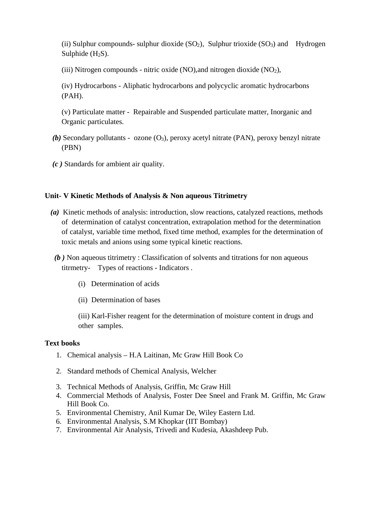(ii) Sulphur compounds- sulphur dioxide  $(SO_2)$ , Sulphur trioxide  $(SO_3)$  and Hydrogen Sulphide  $(H<sub>2</sub>S)$ .

(iii) Nitrogen compounds - nitric oxide  $(NO)$ , and nitrogen dioxide  $(NO<sub>2</sub>)$ ,

(iv) Hydrocarbons - Aliphatic hydrocarbons and polycyclic aromatic hydrocarbons (PAH).

(v) Particulate matter - Repairable and Suspended particulate matter, Inorganic and Organic particulates.

- *(b)* Secondary pollutants ozone (O<sub>3</sub>), peroxy acetyl nitrate (PAN), peroxy benzyl nitrate (PBN)
- *(c )* Standards for ambient air quality.

# **Unit- V Kinetic Methods of Analysis & Non aqueous Titrimetry**

- *(a)* Kinetic methods of analysis: introduction, slow reactions, catalyzed reactions, methods of determination of catalyst concentration, extrapolation method for the determination of catalyst, variable time method, fixed time method, examples for the determination of toxic metals and anions using some typical kinetic reactions.
	- *(b )* Non aqueous titrimetry : Classification of solvents and titrations for non aqueous titrmetry- Types of reactions - Indicators .
		- (i) Determination of acids
		- (ii) Determination of bases

(iii) Karl-Fisher reagent for the determination of moisture content in drugs and other samples.

#### **Text books**

- 1. Chemical analysis H.A Laitinan, Mc Graw Hill Book Co
- 2. Standard methods of Chemical Analysis, Welcher
- 3. Technical Methods of Analysis, Griffin, Mc Graw Hill
- 4. Commercial Methods of Analysis, Foster Dee Sneel and Frank M. Griffin, Mc Graw Hill Book Co.
- 5. Environmental Chemistry, Anil Kumar De, Wiley Eastern Ltd.
- 6. Environmental Analysis, S.M Khopkar (IIT Bombay)
- 7. Environmental Air Analysis, Trivedi and Kudesia, Akashdeep Pub.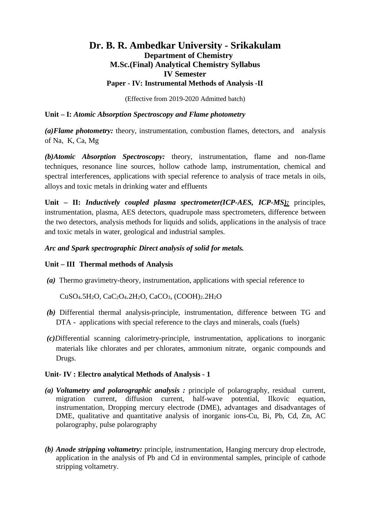# **Dr. B. R. Ambedkar University - Srikakulam Department of Chemistry M.Sc.(Final) Analytical Chemistry Syllabus IV Semester Paper - IV: Instrumental Methods of Analysis -II**

(Effective from 2019-2020 Admitted batch)

# **Unit – I:** *Atomic Absorption Spectroscopy and Flame photometry*

*(a)Flame photometry:* theory, instrumentation, combustion flames, detectors, and analysis of Na, K, Ca, Mg

*(b)Atomic Absorption Spectroscopy:* theory, instrumentation, flame and non-flame techniques, resonance line sources, hollow cathode lamp, instrumentation, chemical and spectral interferences, applications with special reference to analysis of trace metals in oils, alloys and toxic metals in drinking water and effluents

**Unit – II:** *Inductively coupled plasma spectrometer(ICP-AES, ICP-MS):* principles, instrumentation, plasma, AES detectors, quadrupole mass spectrometers, difference between the two detectors, analysis methods for liquids and solids, applications in the analysis of trace and toxic metals in water, geological and industrial samples.

# *Arc and Spark spectrographic Direct analysis of solid for metals.*

# **Unit – III Thermal methods of Analysis**

*(a)* Thermo gravimetry-theory, instrumentation, applications with special reference to

CuSO4.5H2O, CaC2O4.2H2O, CaCO3, (COOH)2.2H2O

- *(b)* Differential thermal analysis-principle, instrumentation, difference between TG and DTA - applications with special reference to the clays and minerals, coals (fuels)
- *(c)D*ifferential scanning calorimetry-principle, instrumentation, applications to inorganic materials like chlorates and per chlorates, ammonium nitrate, organic compounds and Drugs.

# **Unit- IV : Electro analytical Methods of Analysis - 1**

- *(a) Voltametry and polarographic analysis :* principle of polarography, residual current, migration current, diffusion current, half-wave potential, Ilkovic equation, instrumentation, Dropping mercury electrode (DME), advantages and disadvantages of DME, qualitative and quantitative analysis of inorganic ions-Cu, Bi, Pb, Cd, Zn, AC polarography, pulse polarography
- *(b) Anode stripping voltametry:* principle, instrumentation, Hanging mercury drop electrode, application in the analysis of Pb and Cd in environmental samples, principle of cathode stripping voltametry.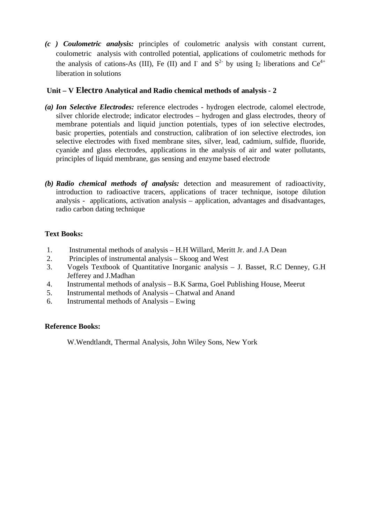*(c ) Coulometric analysis:* principles of coulometric analysis with constant current, coulometric analysis with controlled potential, applications of coulometric methods for the analysis of cations-As (III), Fe (II) and I<sup>-</sup> and  $S<sup>2</sup>$  by using I<sub>2</sub> liberations and Ce<sup>4+</sup> liberation in solutions

## **Unit – V Electro Analytical and Radio chemical methods of analysis - 2**

- *(a) Ion Selective Electrodes:* reference electrodes hydrogen electrode, calomel electrode, silver chloride electrode; indicator electrodes – hydrogen and glass electrodes, theory of membrane potentials and liquid junction potentials, types of ion selective electrodes, basic properties, potentials and construction, calibration of ion selective electrodes, ion selective electrodes with fixed membrane sites, silver, lead, cadmium, sulfide, fluoride, cyanide and glass electrodes, applications in the analysis of air and water pollutants, principles of liquid membrane, gas sensing and enzyme based electrode
- *(b) Radio chemical methods of analysis:* detection and measurement of radioactivity, introduction to radioactive tracers, applications of tracer technique, isotope dilution analysis - applications, activation analysis – application, advantages and disadvantages, radio carbon dating technique

## **Text Books:**

- 1. Instrumental methods of analysis H.H Willard, Meritt Jr. and J.A Dean
- 2. Principles of instrumental analysis Skoog and West
- 3. Vogels Textbook of Quantitative Inorganic analysis J. Basset, R.C Denney, G.H Jefferey and J.Madhan
- 4. Instrumental methods of analysis B.K Sarma, Goel Publishing House, Meerut
- 5. Instrumental methods of Analysis Chatwal and Anand
- 6. Instrumental methods of Analysis Ewing

## **Reference Books:**

W.Wendtlandt, Thermal Analysis, John Wiley Sons, New York